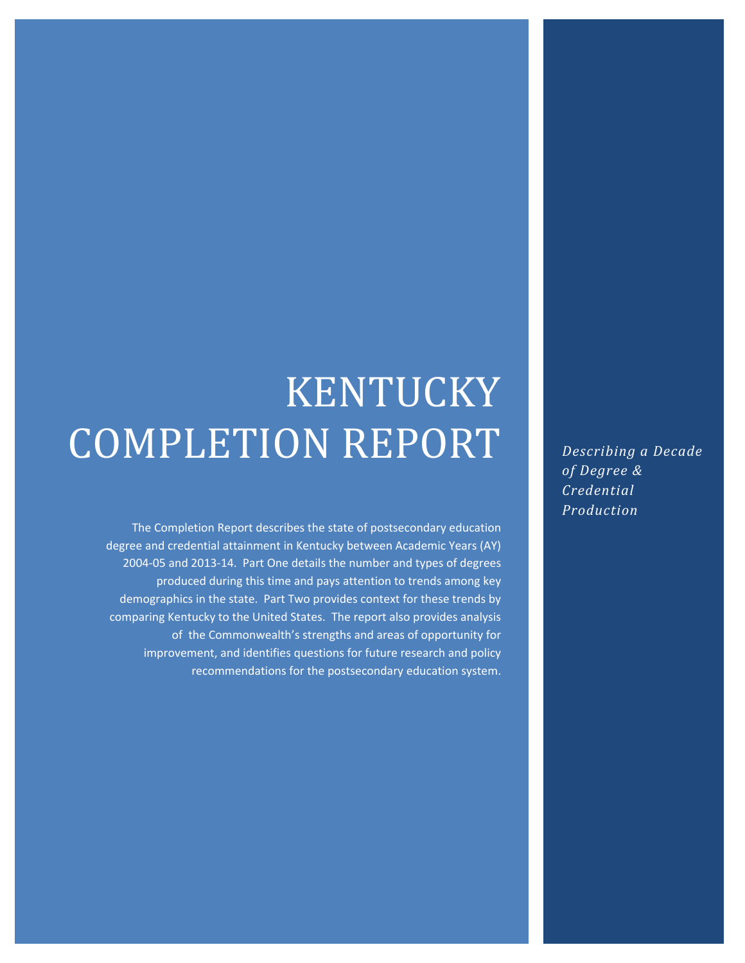# KENTUCKY COMPLETION REPORT

The Completion Report describes the state of postsecondary education degree and credential attainment in Kentucky between Academic Years (AY) 2004‐05 and 2013‐14. Part One details the number and types of degrees produced during this time and pays attention to trends among key demographics in the state. Part Two provides context for these trends by comparing Kentucky to the United States. The report also provides analysis of the Commonwealth's strengths and areas of opportunity for improvement, and identifies questions for future research and policy recommendations for the postsecondary education system.

*Describing a Decade of Degree & Credential Production*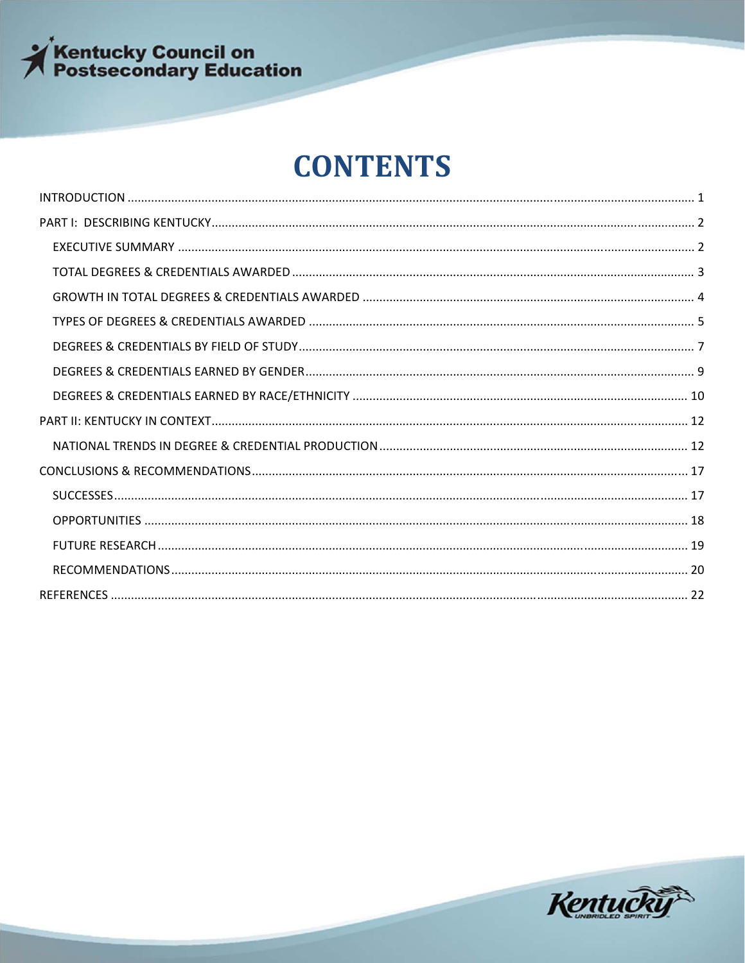

## **CONTENTS**

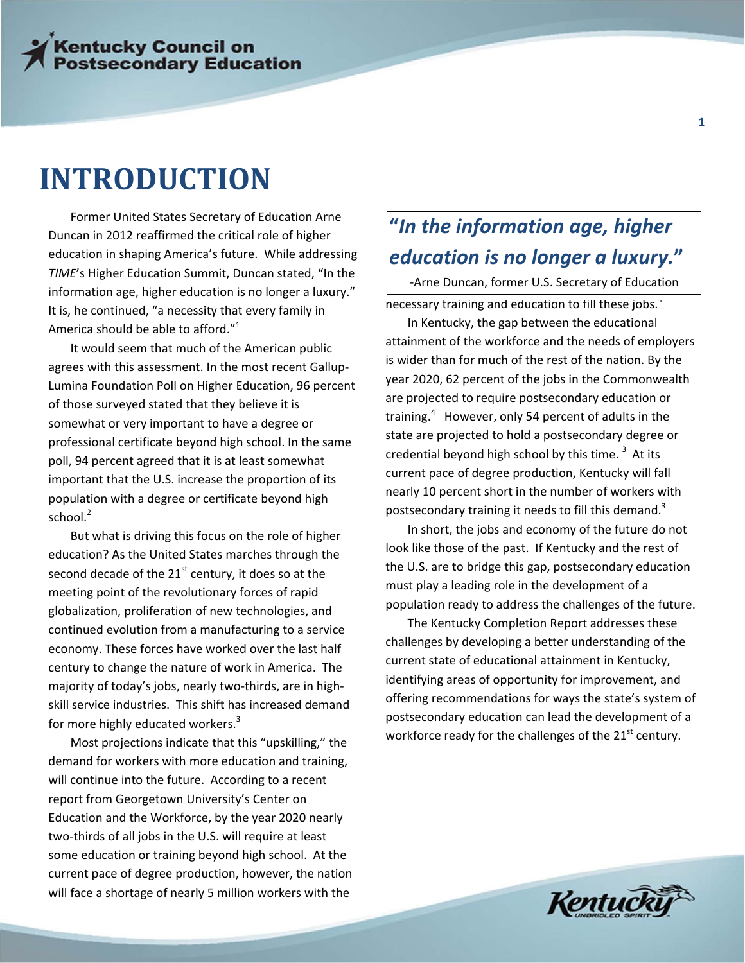## **INTRODUCTION**

Former United States Secretary of Education Arne Duncan in 2012 reaffirmed the critical role of higher education in shaping America's future. While addressing *TIME*'s Higher Education Summit, Duncan stated, "In the information age, higher education is no longer a luxury." It is, he continued, "a necessity that every family in America should be able to afford."<sup>1</sup>

It would seem that much of the American public agrees with this assessment. In the most recent Gallup‐ Lumina Foundation Poll on Higher Education, 96 percent of those surveyed stated that they believe it is somewhat or very important to have a degree or professional certificate beyond high school. In the same poll, 94 percent agreed that it is at least somewhat important that the U.S. increase the proportion of its population with a degree or certificate beyond high school. $2$ 

But what is driving this focus on the role of higher education? As the United States marches through the second decade of the  $21<sup>st</sup>$  century, it does so at the meeting point of the revolutionary forces of rapid globalization, proliferation of new technologies, and continued evolution from a manufacturing to a service economy. These forces have worked over the last half century to change the nature of work in America. The majority of today's jobs, nearly two‐thirds, are in high‐ skill service industries. This shift has increased demand for more highly educated workers.<sup>3</sup>

Most projections indicate that this "upskilling," the demand for workers with more education and training, will continue into the future. According to a recent report from Georgetown University's Center on Education and the Workforce, by the year 2020 nearly two‐thirds of all jobs in the U.S. will require at least some education or training beyond high school. At the current pace of degree production, however, the nation will face a shortage of nearly 5 million workers with the

## **"***In the information age, higher education is no longer a luxury.***"**

necessary training and education to fill these jobs.<sup>4</sup> ‐Arne Duncan, former U.S. Secretary of Education

In Kentucky, the gap between the educational attainment of the workforce and the needs of employers is wider than for much of the rest of the nation. By the year 2020, 62 percent of the jobs in the Commonwealth are projected to require postsecondary education or training.<sup>4</sup> However, only 54 percent of adults in the state are projected to hold a postsecondary degree or credential beyond high school by this time.  $3$  At its current pace of degree production, Kentucky will fall nearly 10 percent short in the number of workers with postsecondary training it needs to fill this demand.<sup>3</sup>

In short, the jobs and economy of the future do not look like those of the past. If Kentucky and the rest of the U.S. are to bridge this gap, postsecondary education must play a leading role in the development of a population ready to address the challenges of the future.

The Kentucky Completion Report addresses these challenges by developing a better understanding of the current state of educational attainment in Kentucky, identifying areas of opportunity for improvement, and offering recommendations for ways the state's system of postsecondary education can lead the development of a workforce ready for the challenges of the  $21<sup>st</sup>$  century.

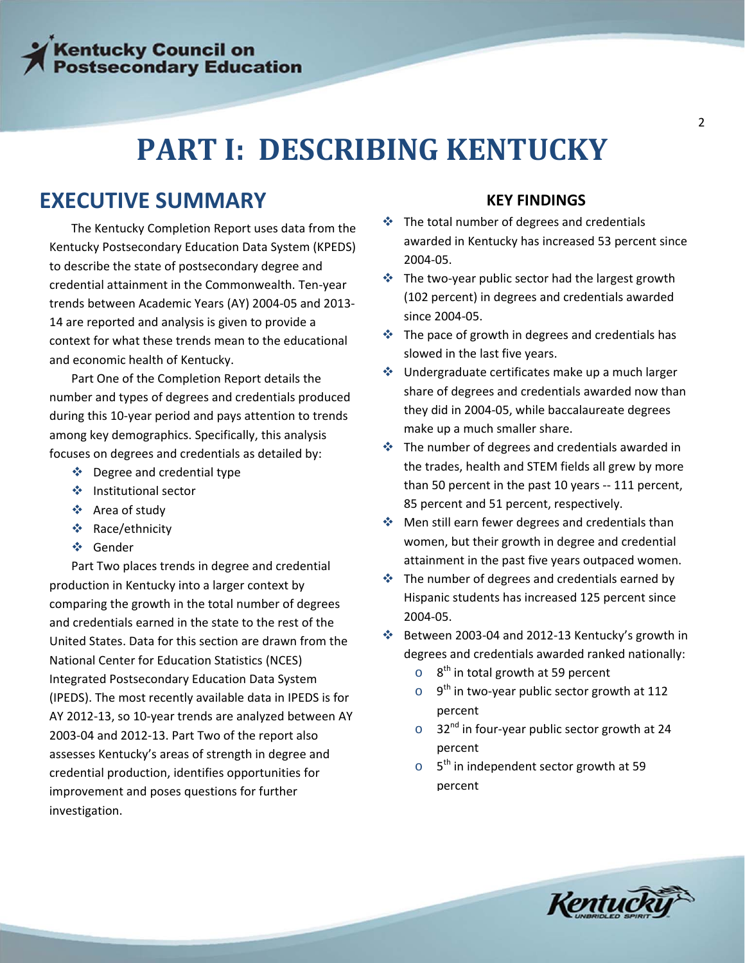## **PART I: DESCRIBING KENTUCKY**

### **EXECUTIVE SUMMARY**

The Kentucky Completion Report uses data from the Kentucky Postsecondary Education Data System (KPEDS) to describe the state of postsecondary degree and credential attainment in the Commonwealth. Ten‐year trends between Academic Years (AY) 2004‐05 and 2013‐ 14 are reported and analysis is given to provide a context for what these trends mean to the educational and economic health of Kentucky.

Part One of the Completion Report details the number and types of degrees and credentials produced during this 10‐year period and pays attention to trends among key demographics. Specifically, this analysis focuses on degrees and credentials as detailed by:

- $\div$  Degree and credential type
- ❖ Institutional sector
- Area of study
- ❖ Race/ethnicity
- Gender

Part Two places trends in degree and credential production in Kentucky into a larger context by comparing the growth in the total number of degrees and credentials earned in the state to the rest of the United States. Data for this section are drawn from the National Center for Education Statistics (NCES) Integrated Postsecondary Education Data System (IPEDS). The most recently available data in IPEDS is for AY 2012‐13, so 10‐year trends are analyzed between AY 2003‐04 and 2012‐13. Part Two of the report also assesses Kentucky's areas of strength in degree and credential production, identifies opportunities for improvement and poses questions for further investigation.

### **KEY FINDINGS**

- $\div$  The total number of degrees and credentials awarded in Kentucky has increased 53 percent since 2004‐05.
- The two‐year public sector had the largest growth (102 percent) in degrees and credentials awarded since 2004‐05.
- $\cdot$  The pace of growth in degrees and credentials has slowed in the last five years.
- $\triangleq$  Undergraduate certificates make up a much larger share of degrees and credentials awarded now than they did in 2004‐05, while baccalaureate degrees make up a much smaller share.
- $\cdot$  The number of degrees and credentials awarded in the trades, health and STEM fields all grew by more than 50 percent in the past 10 years ‐‐ 111 percent, 85 percent and 51 percent, respectively.
- ◆ Men still earn fewer degrees and credentials than women, but their growth in degree and credential attainment in the past five years outpaced women.
- $\cdot$  The number of degrees and credentials earned by Hispanic students has increased 125 percent since 2004‐05.
- Between 2003‐04 and 2012‐13 Kentucky's growth in degrees and credentials awarded ranked nationally:
	- $\circ$  8<sup>th</sup> in total growth at 59 percent
	- $\circ$  9<sup>th</sup> in two-year public sector growth at 112 percent
	- $\circ$  32<sup>nd</sup> in four-year public sector growth at 24 percent
	- $\circ$  5<sup>th</sup> in independent sector growth at 59 percent

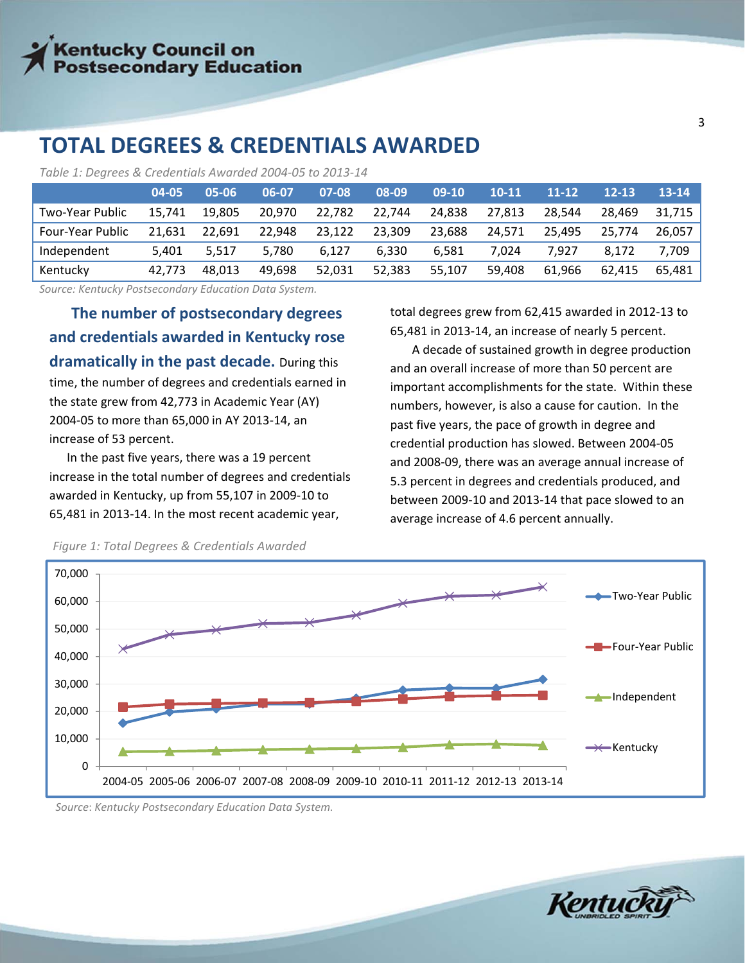### **TOTAL DEGREES & CREDENTIALS AWARDED**

*Table 1: Degrees & Credentials Awarded 2004‐05 to 2013‐14*

|                  | 04-05  | 05-06  | 06-07  | 07-08  | 08-09  | $09-10$ | $10 - 11$ | $11 - 12$ | $12 - 13$ | $13 - 14$ |
|------------------|--------|--------|--------|--------|--------|---------|-----------|-----------|-----------|-----------|
| Two-Year Public  | 15.741 | 19.805 | 20.970 | 22,782 | 22.744 | 24,838  | 27.813    | 28.544    | 28,469    | 31,715    |
| Four-Year Public | 21.631 | 22.691 | 22.948 | 23,122 | 23.309 | 23.688  | 24.571    | 25.495    | 25.774    | 26.057    |
| Independent      | 5.401  | 5.517  | 5,780  | 6.127  | 6.330  | 6.581   | 7.024     | 7.927     | 8.172     | 7.709     |
| Kentucky         | 42.773 | 48.013 | 49.698 | 52,031 | 52.383 | 55.107  | 59.408    | 61.966    | 62.415    | 65.481    |

*Source: Kentucky Postsecondary Education Data System.*

**The number of postsecondary degrees and credentials awarded in Kentucky rose dramatically in the past decade.** During this time, the number of degrees and credentials earned in the state grew from 42,773 in Academic Year (AY) 2004‐05 to more than 65,000 in AY 2013‐14, an increase of 53 percent.

In the past five years, there was a 19 percent increase in the total number of degrees and credentials awarded in Kentucky, up from 55,107 in 2009‐10 to 65,481 in 2013‐14. In the most recent academic year,

total degrees grew from 62,415 awarded in 2012‐13 to 65,481 in 2013‐14, an increase of nearly 5 percent.

A decade of sustained growth in degree production and an overall increase of more than 50 percent are important accomplishments for the state. Within these numbers, however, is also a cause for caution. In the past five years, the pace of growth in degree and credential production has slowed. Between 2004‐05 and 2008‐09, there was an average annual increase of 5.3 percent in degrees and credentials produced, and between 2009‐10 and 2013‐14 that pace slowed to an average increase of 4.6 percent annually.



*Figure 1: Total Degrees & Credentials Awarded* 

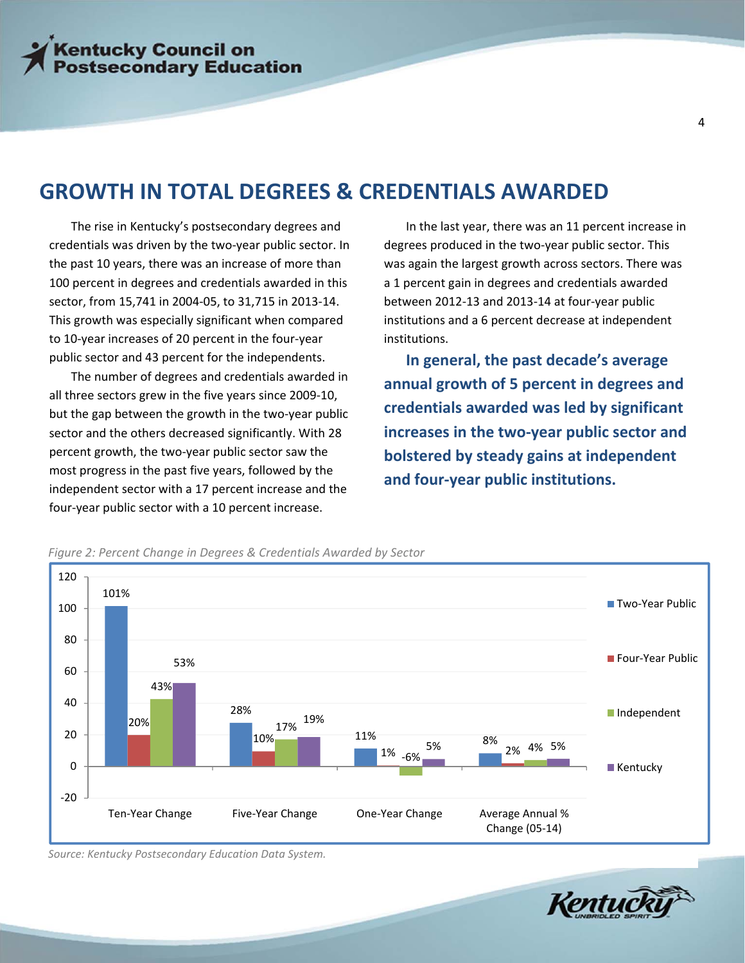### **GROWTH IN TOTAL DEGREES & CREDENTIALS AWARDED**

The rise in Kentucky's postsecondary degrees and credentials was driven by the two‐year public sector. In the past 10 years, there was an increase of more than 100 percent in degrees and credentials awarded in this sector, from 15,741 in 2004‐05, to 31,715 in 2013‐14. This growth was especially significant when compared to 10‐year increases of 20 percent in the four‐year public sector and 43 percent for the independents.

most progress in the past five years, followed by the The number of degrees and credentials awarded in all three sectors grew in the five years since 2009‐10, but the gap between the growth in the two‐year public sector and the others decreased significantly. With 28 percent growth, the two‐year public sector saw the independent sector with a 17 percent increase and the four‐year public sector with a 10 percent increase.

In the last year, there was an 11 percent increase in degrees produced in the two‐year public sector. This was again the largest growth across sectors. There was a 1 percent gain in degrees and credentials awarded between 2012‐13 and 2013‐14 at four‐year public institutions and a 6 percent decrease at independent institutions.

**In general, the past decade's average annual growth of 5 percent in degrees and credentials awarded was led by significant increases in the two‐year public sector and bolstered by steady gains at independent and four‐year public institutions.**



*Figure 2: Percent Change in Degrees & Credentials Awarded by Sector*



*Source: Kentucky Postsecondary Education Data System.*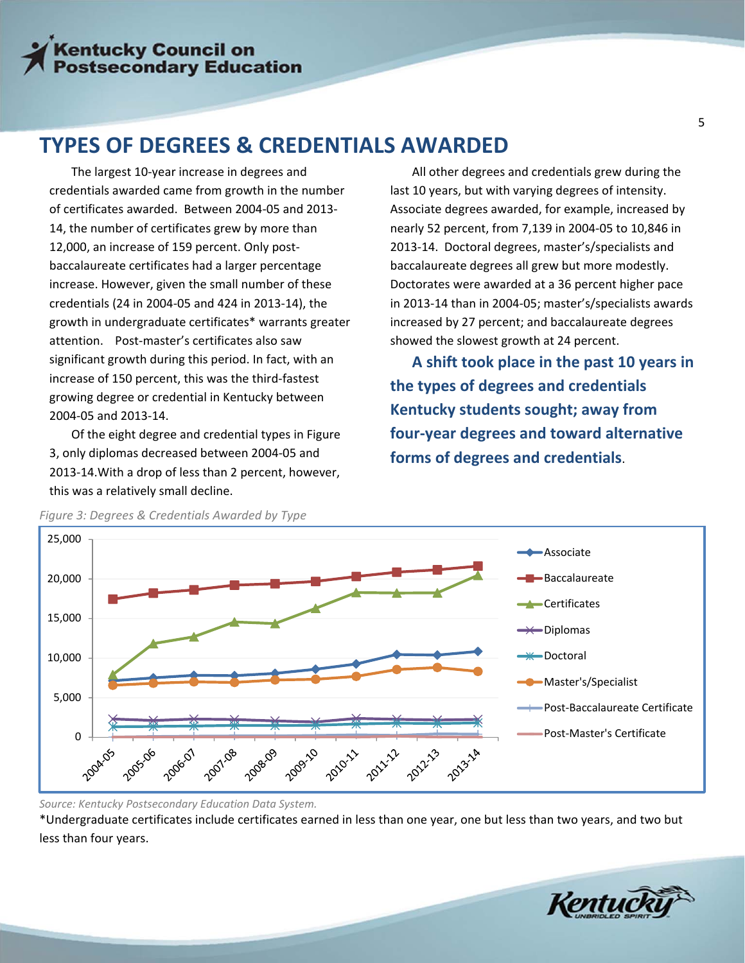### **TYPES OF DEGREES & CREDENTIALS AWARDED**

The largest 10‐year increase in degrees and credentials awarded came from growth in the number of certificates awarded. Between 2004‐05 and 2013‐ 14, the number of certificates grew by more than 12,000, an increase of 159 percent. Only postbaccalaureate certificates had a larger percentage increase. However, given the small number of these credentials (24 in 2004‐05 and 424 in 2013‐14), the growth in undergraduate certificates\* warrants greater attention. Post‐master's certificates also saw significant growth during this period. In fact, with an increase of 150 percent, this was the third‐fastest growing degree or credential in Kentucky between 2004‐05 and 2013‐14.

Of the eight degree and credential types in Figure 3, only diplomas decreased between 2004‐05 and 2013‐14.With a drop of less than 2 percent, however, this was a relatively small decline.

All other degrees and credentials grew during the last 10 years, but with varying degrees of intensity. Associate degrees awarded, for example, increased by nearly 52 percent, from 7,139 in 2004‐05 to 10,846 in 2013‐14. Doctoral degrees, master's/specialists and baccalaureate degrees all grew but more modestly. Doctorates were awarded at a 36 percent higher pace in 2013‐14 than in 2004‐05; master's/specialists awards increased by 27 percent; and baccalaureate degrees showed the slowest growth at 24 percent.

**A shift took place in the past 10 years in the types of degrees and credentials Kentucky students sought; away from four‐year degrees and toward alternative forms of degrees and credentials**.



*Figure 3: Degrees & Credentials Awarded by Type*

*Source: Kentucky Postsecondary Education Data System.*

\*Undergraduate certificates include certificates earned in less than one year, one but less than two years, and two but less than four years.

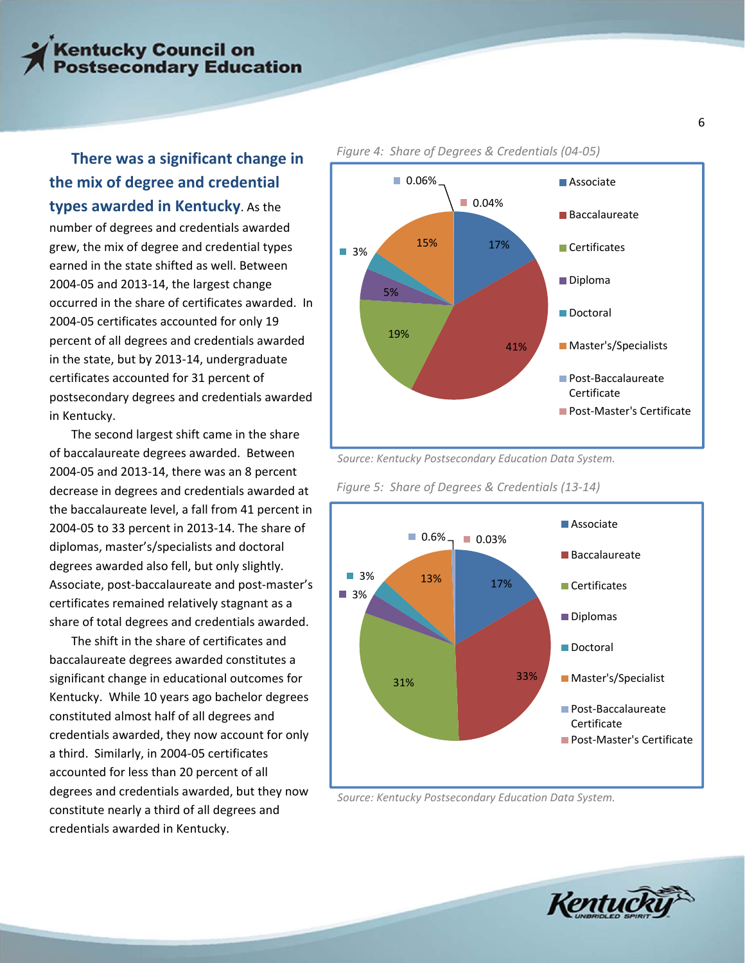### **There was <sup>a</sup> significant change in the mix of degree and credential types awarded in Kentucky**. As the

number of degrees and credentials awarded grew, the mix of degree and credential types earned in the state shifted as well. Between 2004‐05 and 2013‐14, the largest change occurred in the share of certificates awarded. In 2004‐05 certificates accounted for only 19 percent of all degrees and credentials awarded in the state, but by 2013‐14, undergraduate certificates accounted for 31 percent of postsecondary degrees and credentials awarded in Kentucky.

The second largest shift came in the share of baccalaureate degrees awarded. Between 2004‐05 and 2013‐14, there was an 8 percent decrease in degrees and credentials awarded at the baccalaureate level, a fall from 41 percent in 2004‐05 to 33 percent in 2013‐14. The share of diplomas, master's/specialists and doctoral degrees awarded also fell, but only slightly. Associate, post‐baccalaureate and post‐master's certificates remained relatively stagnant as a share of total degrees and credentials awarded.

The shift in the share of certificates and baccalaureate degrees awarded constitutes a significant change in educational outcomes for Kentucky. While 10 years ago bachelor degrees constituted almost half of all degrees and credentials awarded, they now account for only a third. Similarly, in 2004‐05 certificates accounted for less than 20 percent of all degrees and credentials awarded, but they now constitute nearly a third of all degrees and credentials awarded in Kentucky.

#### 17% 41% 19% 5% ■ 3% 15% ■ 0.06% ■ 0.04% **Associate Baccalaureate** Certificates Diploma Doctoral **Master's/Specialists** ■ Post-Baccalaureate Certificate ■ Post-Master's Certificate

#### *Figure 4: Share of Degrees & Credentials (04‐05)*

*Source: Kentucky Postsecondary Education Data System.*

*Figure 5: Share of Degrees & Credentials (13‐14)*



*Source: Kentucky Postsecondary Education Data System.*

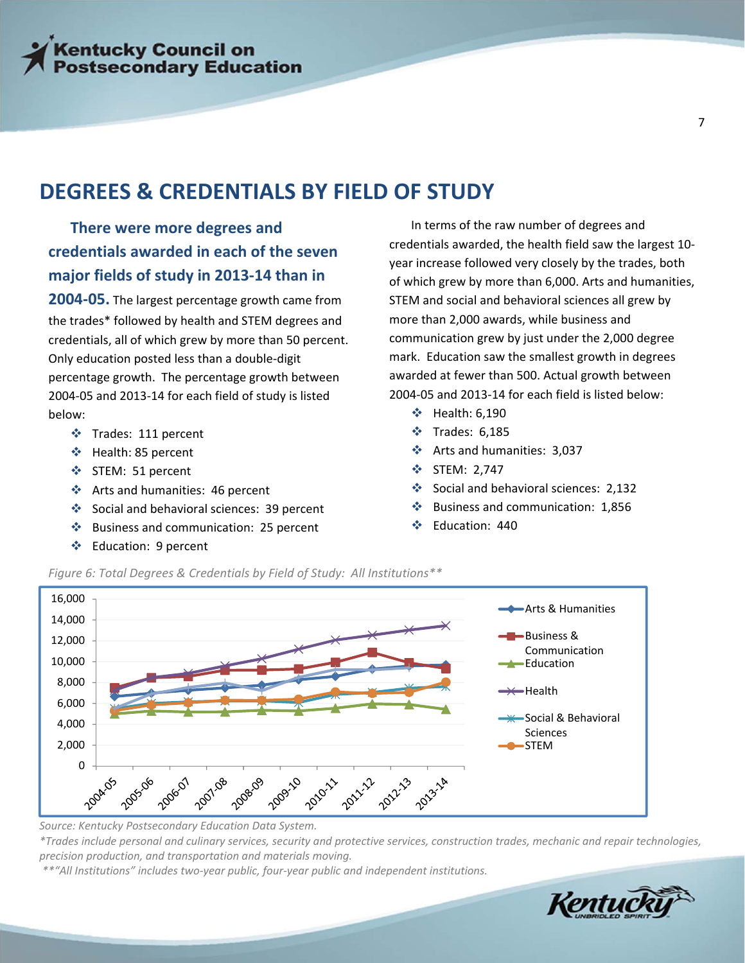### **DEGREES & CREDENTIALS BY FIELD OF STUDY**

**There were more degrees and credentials awarded in each of the seven major fields of study in 2013‐14 than in**

**2004‐05.** The largest percentage growth came from the trades\* followed by health and STEM degrees and credentials, all of which grew by more than 50 percent. Only education posted less than a double‐digit percentage growth. The percentage growth between 2004‐05 and 2013‐14 for each field of study is listed below:

- **❖** Trades: 111 percent
- Health: 85 percent
- STEM: 51 percent
- Arts and humanities: 46 percent
- Social and behavioral sciences: 39 percent
- ❖ Business and communication: 25 percent
- ❖ Education: 9 percent

In terms of the raw number of degrees and credentials awarded, the health field saw the largest 10‐ year increase followed very closely by the trades, both of which grew by more than 6,000. Arts and humanities, STEM and social and behavioral sciences all grew by more than 2,000 awards, while business and communication grew by just under the 2,000 degree mark. Education saw the smallest growth in degrees awarded at fewer than 500. Actual growth between 2004‐05 and 2013‐14 for each field is listed below:

- Health: 6,190
- Trades: 6,185
- Arts and humanities: 3,037
- $\div$  STEM: 2,747
- Social and behavioral sciences: 2,132
- $\cdot$  Business and communication: 1,856
- Education: 440





*Source: Kentucky Postsecondary Education Data System.*

\*Trades include personal and culinary services, security and protective services, construction trades, mechanic and repair technologies, *precision production, and transportation and materials moving.*

*\*\*"All Institutions" includes two‐year public, four‐year public and independent institutions.*

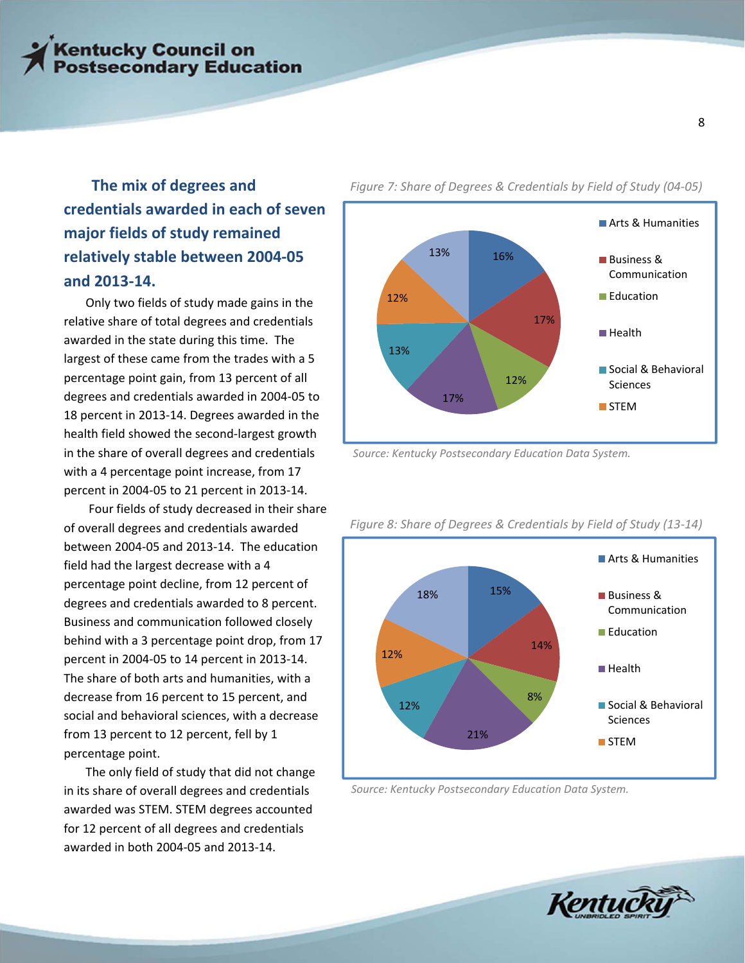### **The mix of degrees and credentials awarded in each of seven major fields of study remained relatively stable between 2004‐05 and 2013‐14.**

Only two fields of study made gains in the relative share of total degrees and credentials awarded in the state during this time. The largest of these came from the trades with a 5 percentage point gain, from 13 percent of all degrees and credentials awarded in 2004‐05 to 18 percent in 2013‐14. Degrees awarded in the health field showed the second‐largest growth in the share of overall degrees and credentials with a 4 percentage point increase, from 17 percent in 2004‐05 to 21 percent in 2013‐14.

 Four fields of study decreased in their share of overall degrees and credentials awarded between 2004‐05 and 2013‐14. The education field had the largest decrease with a 4 percentage point decline, from 12 percent of degrees and credentials awarded to 8 percent. Business and communication followed closely behind with a 3 percentage point drop, from 17 percent in 2004‐05 to 14 percent in 2013‐14. The share of both arts and humanities, with a decrease from 16 percent to 15 percent, and social and behavioral sciences, with a decrease from 13 percent to 12 percent, fell by 1 percentage point.

The only field of study that did not change in its share of overall degrees and credentials awarded was STEM. STEM degrees accounted for 12 percent of all degrees and credentials awarded in both 2004‐05 and 2013‐14.

*Figure 7: Share of Degrees & Credentials by Field of Study (04‐05)*



*Source: Kentucky Postsecondary Education Data System.*



*Figure 8: Share of Degrees & Credentials by Field of Study (13‐14)*

*Source: Kentucky Postsecondary Education Data System.*

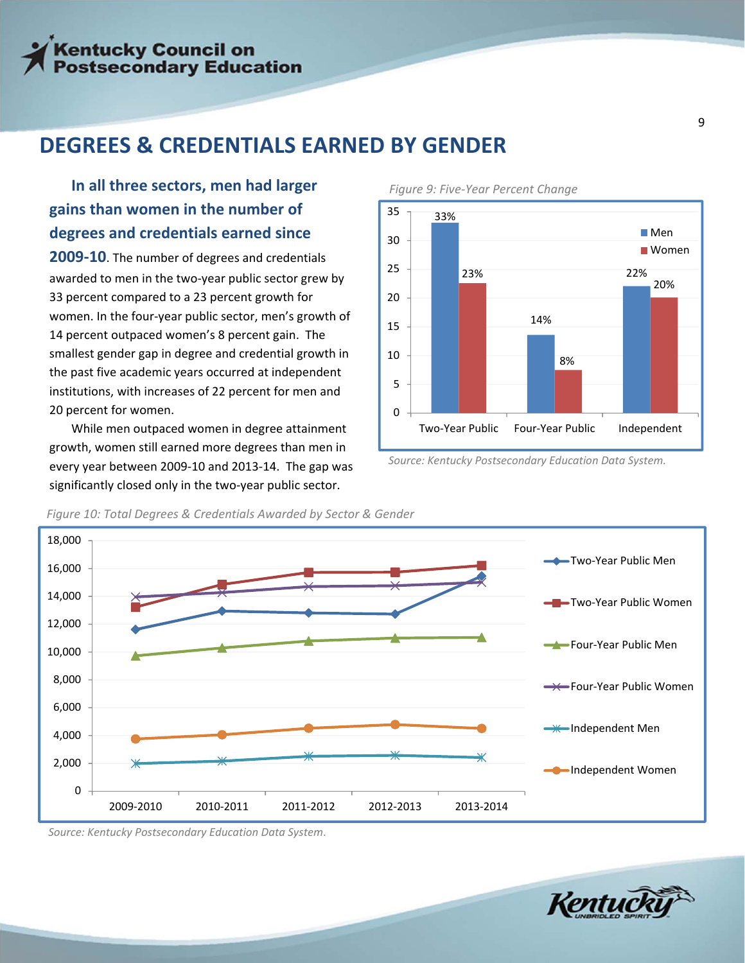### **DEGREES & CREDENTIALS EARNED BY GENDER**

### **In all three sectors, men had larger gains than women in the number of degrees and credentials earned since**

**2009‐10**. The number of degrees and credentials awarded to men in the two‐year public sector grew by 33 percent compared to a 23 percent growth for women. In the four‐year public sector, men's growth of 14 percent outpaced women's 8 percent gain. The smallest gender gap in degree and credential growth in the past five academic years occurred at independent institutions, with increases of 22 percent for men and 20 percent for women.

While men outpaced women in degree attainment growth, women still earned more degrees than men in every year between 2009‐10 and 2013‐14. The gap was significantly closed only in the two‐year public sector. 



*Figure 9: Five‐Year Percent Change* 

*Source: Kentucky Postsecondary Education Data System.*



*Figure 10: Total Degrees & Credentials Awarded by Sector & Gender*

*Source: Kentucky Postsecondary Education Data System*.

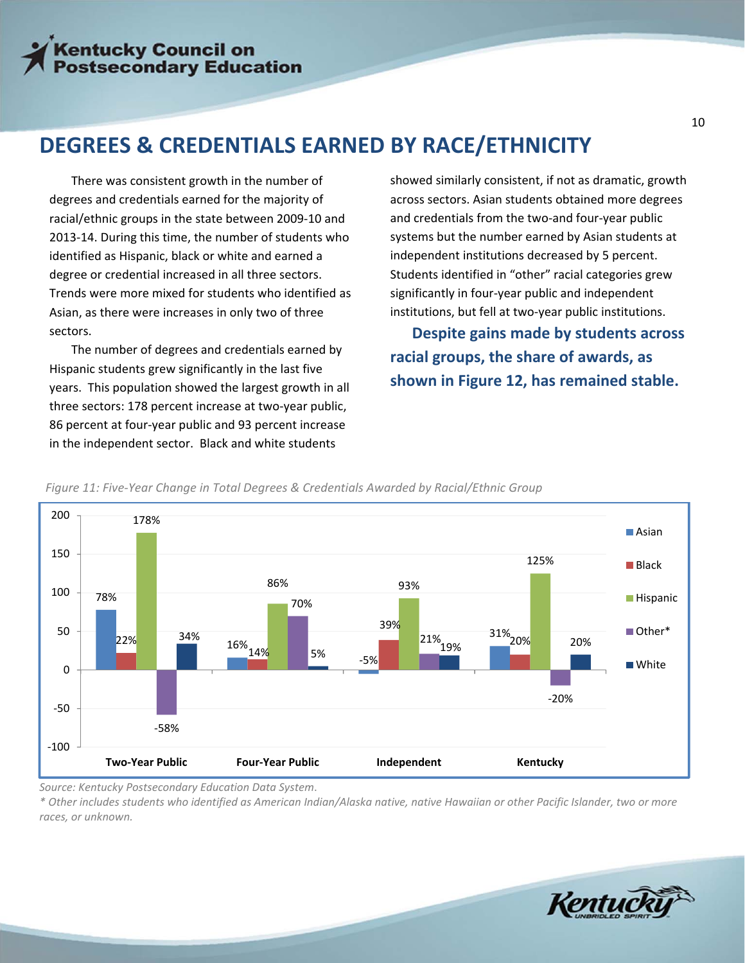### **DEGREES & CREDENTIALS EARNED BY RACE/ETHNICITY**

There was consistent growth in the number of degrees and credentials earned for the majority of racial/ethnic groups in the state between 2009‐10 and 2013‐14. During this time, the number of students who identified as Hispanic, black or white and earned a degree or credential increased in all three sectors. Trends were more mixed for students who identified as Asian, as there were increases in only two of three sectors.

The number of degrees and credentials earned by Hispanic students grew significantly in the last five years. This population showed the largest growth in all three sectors: 178 percent increase at two‐year public, 86 percent at four‐year public and 93 percent increase in the independent sector. Black and white students

showed similarly consistent, if not as dramatic, growth across sectors. Asian students obtained more degrees and credentials from the two‐and four‐year public systems but the number earned by Asian students at independent institutions decreased by 5 percent. Students identified in "other" racial categories grew significantly in four‐year public and independent institutions, but fell at two‐year public institutions.

 **Despite gains made by students across racial groups, the share of awards, as shown in Figure 12, has remained stable.**



*Figure 11: Five‐Year Change in Total Degrees & Credentials Awarded by Racial/Ethnic Group*

*Source: Kentucky Postsecondary Education Data System*.

\* Other includes students who identified as American Indian/Alaska native, native Hawaiian or other Pacific Islander, two or more *races, or unknown.*

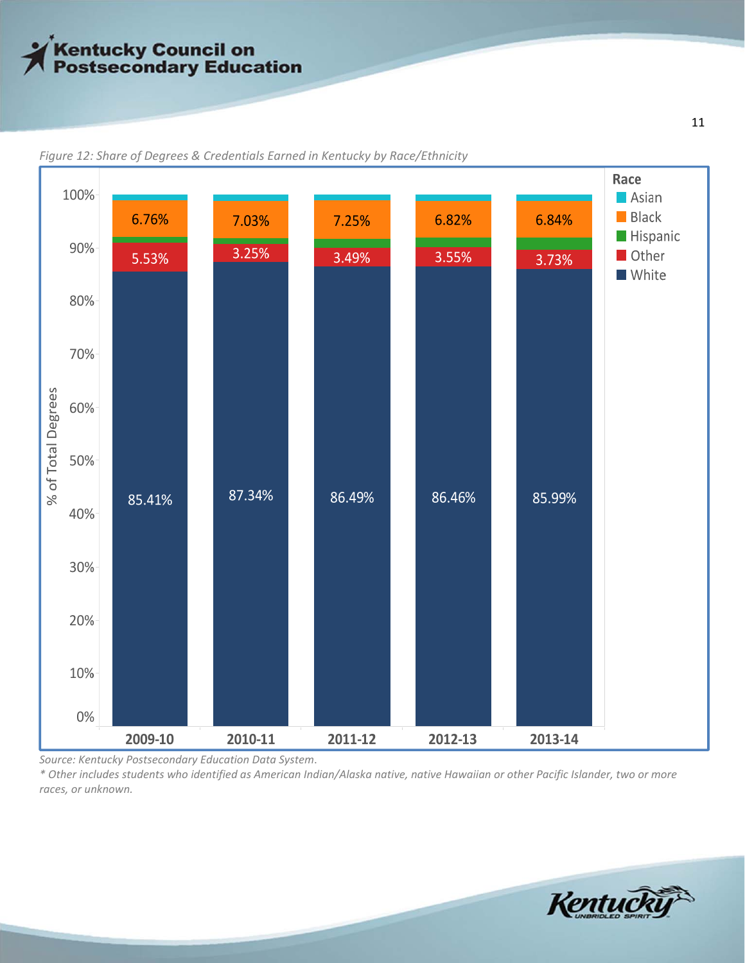

*Figure 12: Share of Degrees & Credentials Earned in Kentucky by Race/Ethnicity*

*Source: Kentucky Postsecondary Education Data System*.

\* Other includes students who identified as American Indian/Alaska native, native Hawaiian or other Pacific Islander, two or more *races, or unknown.*

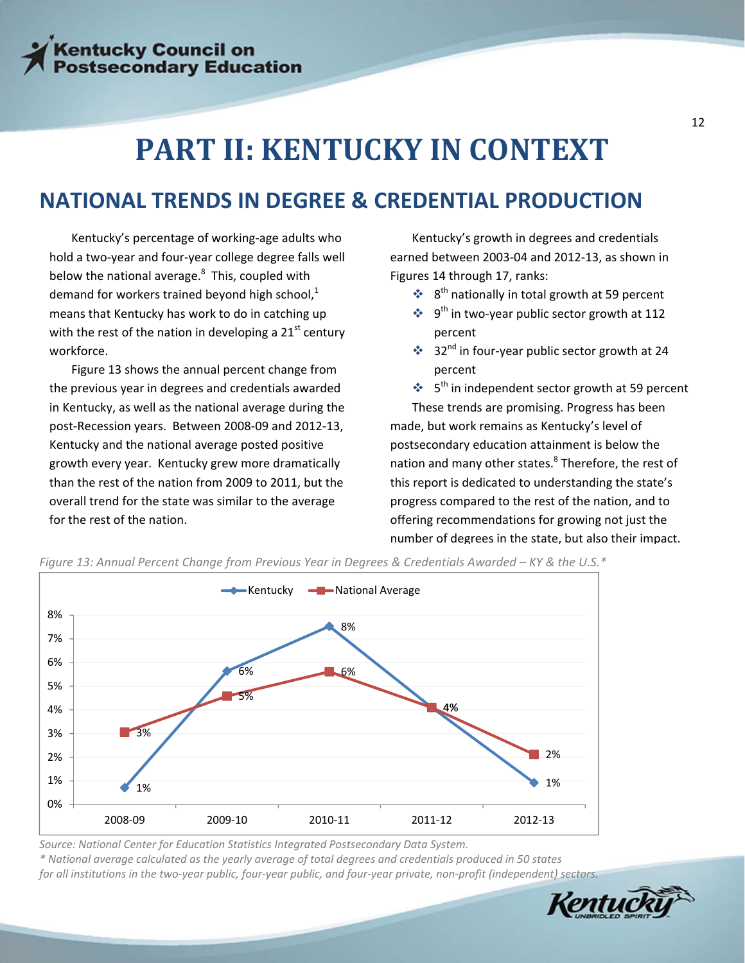## **PART II: KENTUCKY IN CONTEXT**

### **NATIONAL TRENDS IN DEGREE & CREDENTIAL PRODUCTION**

Kentucky's percentage of working‐age adults who hold a two‐year and four‐year college degree falls well below the national average.<sup>8</sup> This, coupled with demand for workers trained beyond high school, $^{1}$ means that Kentucky has work to do in catching up with the rest of the nation in developing a  $21<sup>st</sup>$  century workforce.

Figure 13 shows the annual percent change from the previous year in degrees and credentials awarded in Kentucky, as well as the national average during the post‐Recession years. Between 2008‐09 and 2012‐13, Kentucky and the national average posted positive growth every year. Kentucky grew more dramatically than the rest of the nation from 2009 to 2011, but the overall trend for the state was similar to the average for the rest of the nation.

Kentucky's growth in degrees and credentials earned between 2003‐04 and 2012‐13, as shown in Figures 14 through 17, ranks:

- $\cdot$  8<sup>th</sup> nationally in total growth at 59 percent
- $\div$  9<sup>th</sup> in two-year public sector growth at 112 percent
- ◆ 32<sup>nd</sup> in four-year public sector growth at 24 percent

 $\cdot$  5<sup>th</sup> in independent sector growth at 59 percent These trends are promising. Progress has been made, but work remains as Kentucky's level of postsecondary education attainment is below the nation and many other states.<sup>8</sup> Therefore, the rest of this report is dedicated to understanding the state's progress compared to the rest of the nation, and to offering recommendations for growing not just the number of degrees in the state, but also their impact.



Figure 13: Annual Percent Change from Previous Year in Degrees & Credentials Awarded - KY & the U.S.\*

*Source: National Center for Education Statistics Integrated Postsecondary Data System.*

\* National average calculated as the yearly average of total degrees and credentials produced in 50 states

for all institutions in the two-year public, four-year public, and four-year private, non-profit (independent) sectors.

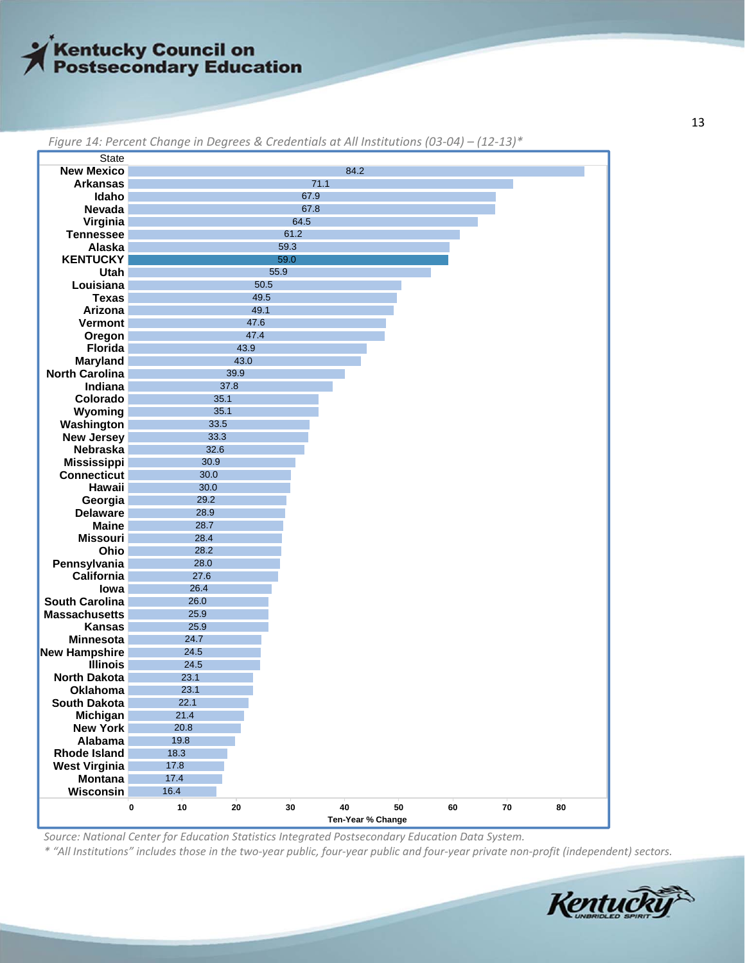| <b>State</b>          |             |            |      |      |                   |    |            |    |  |  |
|-----------------------|-------------|------------|------|------|-------------------|----|------------|----|--|--|
| <b>New Mexico</b>     |             |            |      | 84.2 |                   |    |            |    |  |  |
| <b>Arkansas</b>       |             |            |      | 71.1 |                   |    |            |    |  |  |
| Idaho                 |             | 67.9       |      |      |                   |    |            |    |  |  |
| Nevada                |             | 67.8       |      |      |                   |    |            |    |  |  |
| Virginia              |             | 64.5       |      |      |                   |    |            |    |  |  |
| <b>Tennessee</b>      | 61.2        |            |      |      |                   |    |            |    |  |  |
| Alaska                |             |            | 59.3 |      |                   |    |            |    |  |  |
| <b>KENTUCKY</b>       |             |            | 59.0 |      |                   |    |            |    |  |  |
| Utah                  |             |            | 55.9 |      |                   |    |            |    |  |  |
| Louisiana             |             |            | 50.5 |      |                   |    |            |    |  |  |
| <b>Texas</b>          |             | 49.5       |      |      |                   |    |            |    |  |  |
| Arizona               |             | 49.1       |      |      |                   |    |            |    |  |  |
| <b>Vermont</b>        |             | 47.6       |      |      |                   |    |            |    |  |  |
| Oregon                |             | 47.4       |      |      |                   |    |            |    |  |  |
| <b>Florida</b>        |             | 43.9       |      |      |                   |    |            |    |  |  |
| <b>Maryland</b>       |             | 43.0       |      |      |                   |    |            |    |  |  |
| <b>North Carolina</b> |             | 39.9       |      |      |                   |    |            |    |  |  |
| Indiana               |             | 37.8       |      |      |                   |    |            |    |  |  |
| Colorado              | 35.1        |            |      |      |                   |    |            |    |  |  |
| Wyoming               | 35.1        |            |      |      |                   |    |            |    |  |  |
| Washington            | 33.5        |            |      |      |                   |    |            |    |  |  |
| <b>New Jersey</b>     | 33.3        |            |      |      |                   |    |            |    |  |  |
| Nebraska              | 32.6        |            |      |      |                   |    |            |    |  |  |
| <b>Mississippi</b>    | 30.9        |            |      |      |                   |    |            |    |  |  |
| <b>Connecticut</b>    | 30.0        |            |      |      |                   |    |            |    |  |  |
| Hawaii                | 30.0        |            |      |      |                   |    |            |    |  |  |
| Georgia               | 29.2        |            |      |      |                   |    |            |    |  |  |
| <b>Delaware</b>       | 28.9        |            |      |      |                   |    |            |    |  |  |
| <b>Maine</b>          | 28.7        |            |      |      |                   |    |            |    |  |  |
| <b>Missouri</b>       | 28.4        |            |      |      |                   |    |            |    |  |  |
| Ohio                  | 28.2        |            |      |      |                   |    |            |    |  |  |
| Pennsylvania          | 28.0        |            |      |      |                   |    |            |    |  |  |
| California            | 27.6        |            |      |      |                   |    |            |    |  |  |
| lowa                  | 26.4        |            |      |      |                   |    |            |    |  |  |
| <b>South Carolina</b> | 26.0        |            |      |      |                   |    |            |    |  |  |
| <b>Massachusetts</b>  | 25.9        |            |      |      |                   |    |            |    |  |  |
| <b>Kansas</b>         | 25.9        |            |      |      |                   |    |            |    |  |  |
| <b>Minnesota</b>      | 24.7        |            |      |      |                   |    |            |    |  |  |
| <b>New Hampshire</b>  | 24.5        |            |      |      |                   |    |            |    |  |  |
| <b>Illinois</b>       | 24.5        |            |      |      |                   |    |            |    |  |  |
| <b>North Dakota</b>   | 23.1        |            |      |      |                   |    |            |    |  |  |
| Oklahoma              | 23.1        |            |      |      |                   |    |            |    |  |  |
| <b>South Dakota</b>   | 22.1        |            |      |      |                   |    |            |    |  |  |
| Michigan              | 21.4        |            |      |      |                   |    |            |    |  |  |
| <b>New York</b>       | 20.8        |            |      |      |                   |    |            |    |  |  |
| Alabama               | 19.8        |            |      |      |                   |    |            |    |  |  |
| <b>Rhode Island</b>   | 18.3        |            |      |      |                   |    |            |    |  |  |
| <b>West Virginia</b>  | 17.8        |            |      |      |                   |    |            |    |  |  |
| <b>Montana</b>        | 17.4        |            |      |      |                   |    |            |    |  |  |
| Wisconsin             | 16.4        |            |      |      |                   |    |            |    |  |  |
|                       | $10\,$<br>0 | ${\bf 20}$ | 30   | 40   | 50                | 60 | ${\bf 70}$ | 80 |  |  |
|                       |             |            |      |      | Ten-Year % Change |    |            |    |  |  |

*Figure 14: Percent Change in Degrees & Credentials at All Institutions (03‐04) – (12‐13)\**

*Source: National Center for Education Statistics Integrated Postsecondary Education Data System.*

\* "All Institutions" includes those in the two-year public, four-year public and four-year private non-profit (independent) sectors.

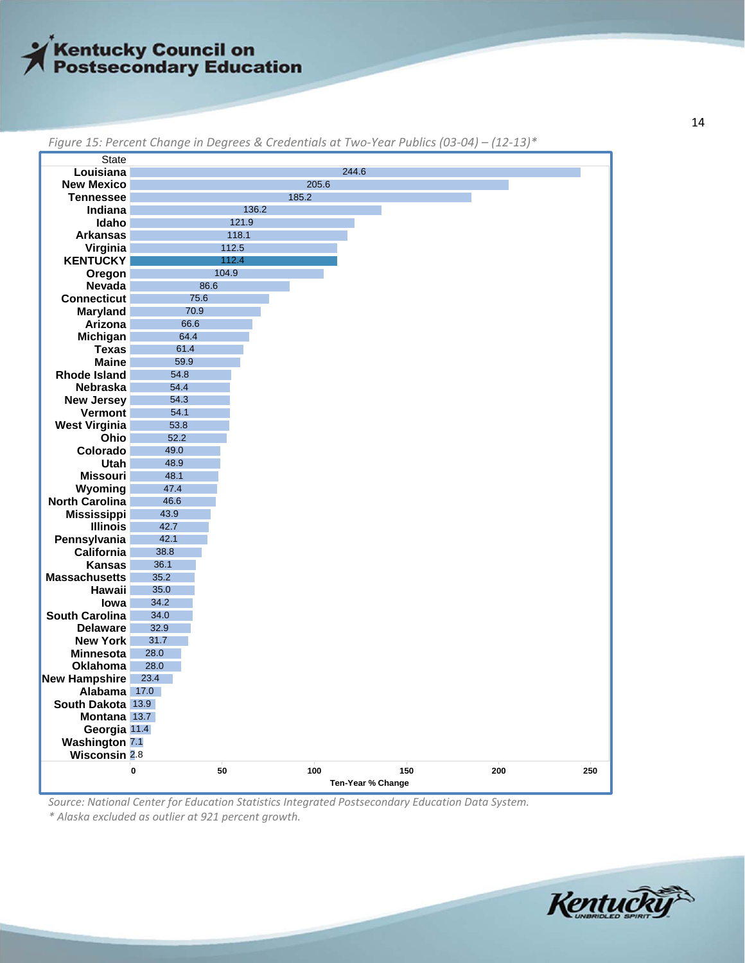| Louisiana<br>244.6<br><b>New Mexico</b><br>205.6<br>185.2<br><b>Tennessee</b><br>136.2<br>Indiana<br>121.9<br>Idaho<br><b>Arkansas</b><br>118.1<br>112.5<br>Virginia<br><b>KENTUCKY</b><br>112.4<br>104.9<br>Oregon<br>Nevada<br>86.6<br><b>Connecticut</b><br>75.6<br>70.9<br>Maryland<br>66.6<br>Arizona<br>Michigan<br>64.4<br><b>Texas</b><br>61.4<br><b>Maine</b><br>59.9<br><b>Rhode Island</b><br>54.8<br>54.4<br>Nebraska<br><b>New Jersey</b><br>54.3<br>Vermont<br>54.1<br><b>West Virginia</b><br>53.8<br>52.2<br>Ohio<br>Colorado<br>49.0<br>48.9<br><b>Utah</b><br><b>Missouri</b><br>48.1<br>47.4<br>Wyoming<br><b>North Carolina</b><br>46.6<br>43.9<br><b>Mississippi</b><br>42.7<br><b>Illinois</b><br>Pennsylvania<br>42.1<br>38.8<br>California<br>36.1<br><b>Kansas</b><br><b>Massachusetts</b><br>35.2<br>Hawaii<br>35.0<br>34.2<br>lowa<br><b>South Carolina</b><br>34.0<br><b>Delaware</b><br>32.9<br>31.7<br><b>New York</b><br><b>Minnesota</b><br>28.0<br><b>Oklahoma</b><br>28.0<br>23.4<br>Alabama<br>17.0<br>South Dakota 13.9<br>Montana 13.7<br>Georgia 11.4<br><b>Washington 7.1</b><br>Wisconsin 2.8<br>50<br>100<br>150<br>0<br>Ten-Year % Change | <b>State</b>         |  |  |  |
|-------------------------------------------------------------------------------------------------------------------------------------------------------------------------------------------------------------------------------------------------------------------------------------------------------------------------------------------------------------------------------------------------------------------------------------------------------------------------------------------------------------------------------------------------------------------------------------------------------------------------------------------------------------------------------------------------------------------------------------------------------------------------------------------------------------------------------------------------------------------------------------------------------------------------------------------------------------------------------------------------------------------------------------------------------------------------------------------------------------------------------------------------------------------------------------|----------------------|--|--|--|
|                                                                                                                                                                                                                                                                                                                                                                                                                                                                                                                                                                                                                                                                                                                                                                                                                                                                                                                                                                                                                                                                                                                                                                                     |                      |  |  |  |
|                                                                                                                                                                                                                                                                                                                                                                                                                                                                                                                                                                                                                                                                                                                                                                                                                                                                                                                                                                                                                                                                                                                                                                                     |                      |  |  |  |
|                                                                                                                                                                                                                                                                                                                                                                                                                                                                                                                                                                                                                                                                                                                                                                                                                                                                                                                                                                                                                                                                                                                                                                                     |                      |  |  |  |
|                                                                                                                                                                                                                                                                                                                                                                                                                                                                                                                                                                                                                                                                                                                                                                                                                                                                                                                                                                                                                                                                                                                                                                                     |                      |  |  |  |
|                                                                                                                                                                                                                                                                                                                                                                                                                                                                                                                                                                                                                                                                                                                                                                                                                                                                                                                                                                                                                                                                                                                                                                                     |                      |  |  |  |
|                                                                                                                                                                                                                                                                                                                                                                                                                                                                                                                                                                                                                                                                                                                                                                                                                                                                                                                                                                                                                                                                                                                                                                                     |                      |  |  |  |
|                                                                                                                                                                                                                                                                                                                                                                                                                                                                                                                                                                                                                                                                                                                                                                                                                                                                                                                                                                                                                                                                                                                                                                                     |                      |  |  |  |
|                                                                                                                                                                                                                                                                                                                                                                                                                                                                                                                                                                                                                                                                                                                                                                                                                                                                                                                                                                                                                                                                                                                                                                                     |                      |  |  |  |
|                                                                                                                                                                                                                                                                                                                                                                                                                                                                                                                                                                                                                                                                                                                                                                                                                                                                                                                                                                                                                                                                                                                                                                                     |                      |  |  |  |
|                                                                                                                                                                                                                                                                                                                                                                                                                                                                                                                                                                                                                                                                                                                                                                                                                                                                                                                                                                                                                                                                                                                                                                                     |                      |  |  |  |
|                                                                                                                                                                                                                                                                                                                                                                                                                                                                                                                                                                                                                                                                                                                                                                                                                                                                                                                                                                                                                                                                                                                                                                                     |                      |  |  |  |
|                                                                                                                                                                                                                                                                                                                                                                                                                                                                                                                                                                                                                                                                                                                                                                                                                                                                                                                                                                                                                                                                                                                                                                                     |                      |  |  |  |
|                                                                                                                                                                                                                                                                                                                                                                                                                                                                                                                                                                                                                                                                                                                                                                                                                                                                                                                                                                                                                                                                                                                                                                                     |                      |  |  |  |
|                                                                                                                                                                                                                                                                                                                                                                                                                                                                                                                                                                                                                                                                                                                                                                                                                                                                                                                                                                                                                                                                                                                                                                                     |                      |  |  |  |
|                                                                                                                                                                                                                                                                                                                                                                                                                                                                                                                                                                                                                                                                                                                                                                                                                                                                                                                                                                                                                                                                                                                                                                                     |                      |  |  |  |
|                                                                                                                                                                                                                                                                                                                                                                                                                                                                                                                                                                                                                                                                                                                                                                                                                                                                                                                                                                                                                                                                                                                                                                                     |                      |  |  |  |
|                                                                                                                                                                                                                                                                                                                                                                                                                                                                                                                                                                                                                                                                                                                                                                                                                                                                                                                                                                                                                                                                                                                                                                                     |                      |  |  |  |
|                                                                                                                                                                                                                                                                                                                                                                                                                                                                                                                                                                                                                                                                                                                                                                                                                                                                                                                                                                                                                                                                                                                                                                                     |                      |  |  |  |
|                                                                                                                                                                                                                                                                                                                                                                                                                                                                                                                                                                                                                                                                                                                                                                                                                                                                                                                                                                                                                                                                                                                                                                                     |                      |  |  |  |
|                                                                                                                                                                                                                                                                                                                                                                                                                                                                                                                                                                                                                                                                                                                                                                                                                                                                                                                                                                                                                                                                                                                                                                                     |                      |  |  |  |
|                                                                                                                                                                                                                                                                                                                                                                                                                                                                                                                                                                                                                                                                                                                                                                                                                                                                                                                                                                                                                                                                                                                                                                                     |                      |  |  |  |
|                                                                                                                                                                                                                                                                                                                                                                                                                                                                                                                                                                                                                                                                                                                                                                                                                                                                                                                                                                                                                                                                                                                                                                                     |                      |  |  |  |
|                                                                                                                                                                                                                                                                                                                                                                                                                                                                                                                                                                                                                                                                                                                                                                                                                                                                                                                                                                                                                                                                                                                                                                                     |                      |  |  |  |
|                                                                                                                                                                                                                                                                                                                                                                                                                                                                                                                                                                                                                                                                                                                                                                                                                                                                                                                                                                                                                                                                                                                                                                                     |                      |  |  |  |
|                                                                                                                                                                                                                                                                                                                                                                                                                                                                                                                                                                                                                                                                                                                                                                                                                                                                                                                                                                                                                                                                                                                                                                                     |                      |  |  |  |
|                                                                                                                                                                                                                                                                                                                                                                                                                                                                                                                                                                                                                                                                                                                                                                                                                                                                                                                                                                                                                                                                                                                                                                                     |                      |  |  |  |
|                                                                                                                                                                                                                                                                                                                                                                                                                                                                                                                                                                                                                                                                                                                                                                                                                                                                                                                                                                                                                                                                                                                                                                                     |                      |  |  |  |
|                                                                                                                                                                                                                                                                                                                                                                                                                                                                                                                                                                                                                                                                                                                                                                                                                                                                                                                                                                                                                                                                                                                                                                                     |                      |  |  |  |
|                                                                                                                                                                                                                                                                                                                                                                                                                                                                                                                                                                                                                                                                                                                                                                                                                                                                                                                                                                                                                                                                                                                                                                                     |                      |  |  |  |
|                                                                                                                                                                                                                                                                                                                                                                                                                                                                                                                                                                                                                                                                                                                                                                                                                                                                                                                                                                                                                                                                                                                                                                                     |                      |  |  |  |
|                                                                                                                                                                                                                                                                                                                                                                                                                                                                                                                                                                                                                                                                                                                                                                                                                                                                                                                                                                                                                                                                                                                                                                                     |                      |  |  |  |
|                                                                                                                                                                                                                                                                                                                                                                                                                                                                                                                                                                                                                                                                                                                                                                                                                                                                                                                                                                                                                                                                                                                                                                                     |                      |  |  |  |
|                                                                                                                                                                                                                                                                                                                                                                                                                                                                                                                                                                                                                                                                                                                                                                                                                                                                                                                                                                                                                                                                                                                                                                                     |                      |  |  |  |
|                                                                                                                                                                                                                                                                                                                                                                                                                                                                                                                                                                                                                                                                                                                                                                                                                                                                                                                                                                                                                                                                                                                                                                                     |                      |  |  |  |
|                                                                                                                                                                                                                                                                                                                                                                                                                                                                                                                                                                                                                                                                                                                                                                                                                                                                                                                                                                                                                                                                                                                                                                                     |                      |  |  |  |
|                                                                                                                                                                                                                                                                                                                                                                                                                                                                                                                                                                                                                                                                                                                                                                                                                                                                                                                                                                                                                                                                                                                                                                                     |                      |  |  |  |
|                                                                                                                                                                                                                                                                                                                                                                                                                                                                                                                                                                                                                                                                                                                                                                                                                                                                                                                                                                                                                                                                                                                                                                                     |                      |  |  |  |
|                                                                                                                                                                                                                                                                                                                                                                                                                                                                                                                                                                                                                                                                                                                                                                                                                                                                                                                                                                                                                                                                                                                                                                                     |                      |  |  |  |
|                                                                                                                                                                                                                                                                                                                                                                                                                                                                                                                                                                                                                                                                                                                                                                                                                                                                                                                                                                                                                                                                                                                                                                                     |                      |  |  |  |
|                                                                                                                                                                                                                                                                                                                                                                                                                                                                                                                                                                                                                                                                                                                                                                                                                                                                                                                                                                                                                                                                                                                                                                                     | <b>New Hampshire</b> |  |  |  |
|                                                                                                                                                                                                                                                                                                                                                                                                                                                                                                                                                                                                                                                                                                                                                                                                                                                                                                                                                                                                                                                                                                                                                                                     |                      |  |  |  |
|                                                                                                                                                                                                                                                                                                                                                                                                                                                                                                                                                                                                                                                                                                                                                                                                                                                                                                                                                                                                                                                                                                                                                                                     |                      |  |  |  |
|                                                                                                                                                                                                                                                                                                                                                                                                                                                                                                                                                                                                                                                                                                                                                                                                                                                                                                                                                                                                                                                                                                                                                                                     |                      |  |  |  |
|                                                                                                                                                                                                                                                                                                                                                                                                                                                                                                                                                                                                                                                                                                                                                                                                                                                                                                                                                                                                                                                                                                                                                                                     |                      |  |  |  |
|                                                                                                                                                                                                                                                                                                                                                                                                                                                                                                                                                                                                                                                                                                                                                                                                                                                                                                                                                                                                                                                                                                                                                                                     |                      |  |  |  |
|                                                                                                                                                                                                                                                                                                                                                                                                                                                                                                                                                                                                                                                                                                                                                                                                                                                                                                                                                                                                                                                                                                                                                                                     |                      |  |  |  |
|                                                                                                                                                                                                                                                                                                                                                                                                                                                                                                                                                                                                                                                                                                                                                                                                                                                                                                                                                                                                                                                                                                                                                                                     |                      |  |  |  |
|                                                                                                                                                                                                                                                                                                                                                                                                                                                                                                                                                                                                                                                                                                                                                                                                                                                                                                                                                                                                                                                                                                                                                                                     |                      |  |  |  |

Figure 15: Percent Change in Degrees & Credentials at Two-Year Publics (03-04) - (12-13)\*

*Source: National Center for Education Statistics Integrated Postsecondary Education Data System. \* Alaska excluded as outlier at 921 percent growth.*

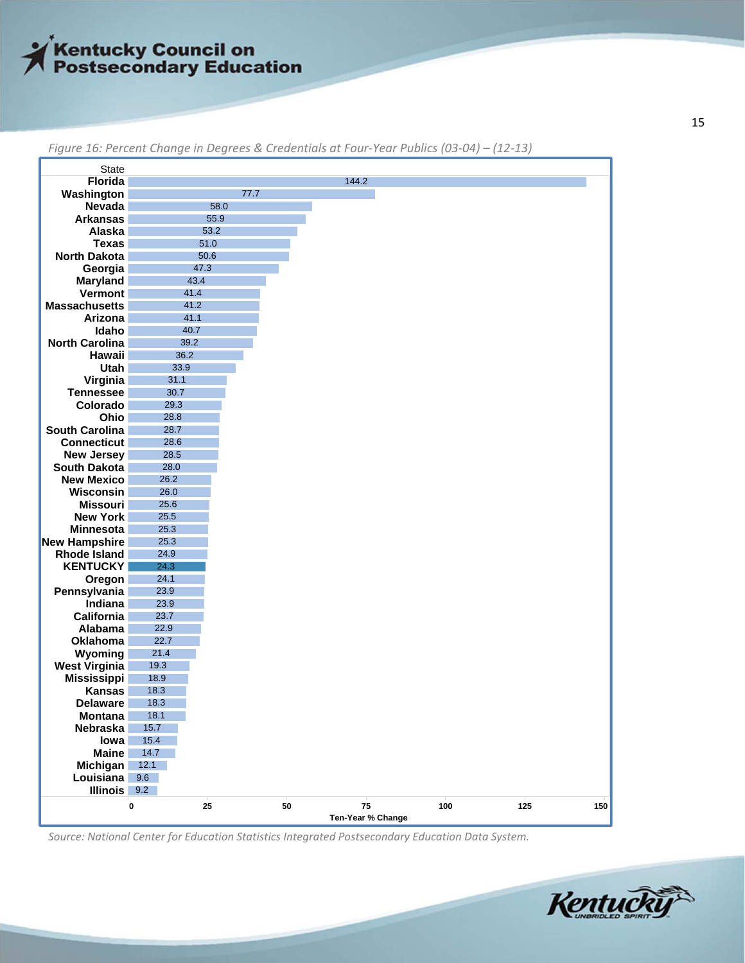

| <b>State</b>                                |              |      |    |                   |     |     |     |
|---------------------------------------------|--------------|------|----|-------------------|-----|-----|-----|
| <b>Florida</b>                              |              |      |    | 144.2             |     |     |     |
| Washington                                  |              | 77.7 |    |                   |     |     |     |
| Nevada                                      |              | 58.0 |    |                   |     |     |     |
| <b>Arkansas</b>                             |              | 55.9 |    |                   |     |     |     |
| Alaska                                      |              | 53.2 |    |                   |     |     |     |
| <b>Texas</b>                                |              | 51.0 |    |                   |     |     |     |
| <b>North Dakota</b>                         |              | 50.6 |    |                   |     |     |     |
| Georgia                                     |              | 47.3 |    |                   |     |     |     |
| Maryland                                    |              | 43.4 |    |                   |     |     |     |
| Vermont                                     | 41.4         |      |    |                   |     |     |     |
| <b>Massachusetts</b>                        | 41.2         |      |    |                   |     |     |     |
| Arizona                                     | 41.1         |      |    |                   |     |     |     |
| Idaho                                       | 40.7         |      |    |                   |     |     |     |
| <b>North Carolina</b>                       | 39.2         |      |    |                   |     |     |     |
| Hawaii                                      | 36.2         |      |    |                   |     |     |     |
| Utah                                        | 33.9         |      |    |                   |     |     |     |
| Virginia                                    | 31.1         |      |    |                   |     |     |     |
| <b>Tennessee</b>                            | 30.7         |      |    |                   |     |     |     |
| Colorado                                    | 29.3         |      |    |                   |     |     |     |
| Ohio                                        | 28.8         |      |    |                   |     |     |     |
| <b>South Carolina</b>                       | 28.7         |      |    |                   |     |     |     |
| <b>Connecticut</b>                          | 28.6         |      |    |                   |     |     |     |
| <b>New Jersey</b>                           | 28.5         |      |    |                   |     |     |     |
| <b>South Dakota</b>                         | 28.0         |      |    |                   |     |     |     |
| <b>New Mexico</b>                           | 26.2         |      |    |                   |     |     |     |
| Wisconsin                                   | 26.0         |      |    |                   |     |     |     |
| <b>Missouri</b>                             | 25.6<br>25.5 |      |    |                   |     |     |     |
| <b>New York</b><br><b>Minnesota</b>         | 25.3         |      |    |                   |     |     |     |
|                                             | 25.3         |      |    |                   |     |     |     |
| <b>New Hampshire</b><br><b>Rhode Island</b> | 24.9         |      |    |                   |     |     |     |
| <b>KENTUCKY</b>                             | 24.3         |      |    |                   |     |     |     |
| Oregon                                      | 24.1         |      |    |                   |     |     |     |
| Pennsylvania                                | 23.9         |      |    |                   |     |     |     |
| Indiana                                     | 23.9         |      |    |                   |     |     |     |
| California                                  | 23.7         |      |    |                   |     |     |     |
| Alabama                                     | 22.9         |      |    |                   |     |     |     |
| Oklahoma                                    | 22.7         |      |    |                   |     |     |     |
| Wyoming                                     | 21.4         |      |    |                   |     |     |     |
| <b>West Virginia</b>                        | 19.3         |      |    |                   |     |     |     |
| <b>Mississippi</b>                          | 18.9         |      |    |                   |     |     |     |
| <b>Kansas</b>                               | 18.3         |      |    |                   |     |     |     |
| <b>Delaware</b>                             | 18.3         |      |    |                   |     |     |     |
| <b>Montana</b>                              | 18.1         |      |    |                   |     |     |     |
| Nebraska                                    | 15.7         |      |    |                   |     |     |     |
| lowa                                        | 15.4         |      |    |                   |     |     |     |
| <b>Maine</b>                                | 14.7         |      |    |                   |     |     |     |
| Michigan                                    | 12.1         |      |    |                   |     |     |     |
| Louisiana                                   | 9.6          |      |    |                   |     |     |     |
| <b>Illinois</b>                             | 9.2          |      |    |                   |     |     |     |
|                                             | $\pmb{0}$    | 25   | 50 | 75                | 100 | 125 | 150 |
|                                             |              |      |    | Ten-Year % Change |     |     |     |
|                                             |              |      |    |                   |     |     |     |

Figure 16: Percent Change in Degrees & Credentials at Four-Year Publics (03-04) - (12-13)

*Source: National Center for Education Statistics Integrated Postsecondary Education Data System.*

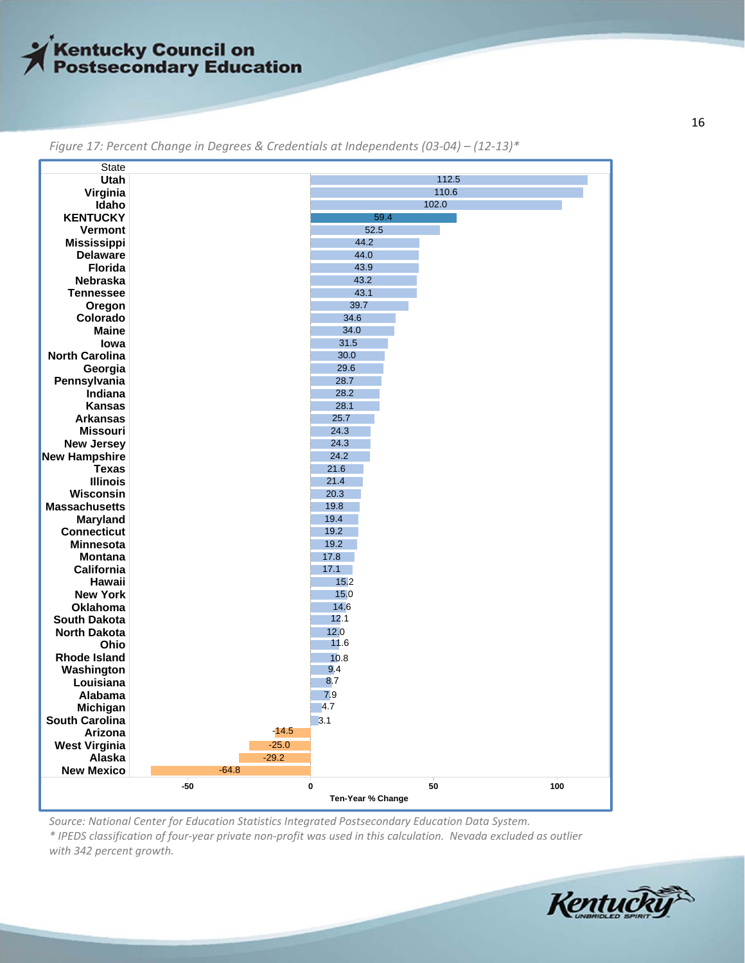

| <b>State</b>                       |         |         |                   |      |       |     |
|------------------------------------|---------|---------|-------------------|------|-------|-----|
| Utah                               |         |         |                   |      | 112.5 |     |
| Virginia                           |         |         |                   |      | 110.6 |     |
| Idaho                              |         |         |                   |      | 102.0 |     |
| <b>KENTUCKY</b>                    |         |         |                   | 59.4 |       |     |
| Vermont                            |         |         | 52.5              |      |       |     |
| <b>Mississippi</b>                 |         |         | 44.2              |      |       |     |
| <b>Delaware</b>                    |         |         | 44.0              |      |       |     |
| Florida                            |         |         | 43.9              |      |       |     |
| Nebraska                           |         |         | 43.2              |      |       |     |
| <b>Tennessee</b>                   |         |         | 43.1              |      |       |     |
| Oregon                             |         |         | 39.7              |      |       |     |
| Colorado                           |         |         | 34.6              |      |       |     |
| <b>Maine</b>                       |         |         | 34.0              |      |       |     |
| lowa                               |         |         | 31.5              |      |       |     |
| <b>North Carolina</b>              |         |         | 30.0              |      |       |     |
| Georgia                            |         |         | 29.6              |      |       |     |
| Pennsylvania                       |         |         | 28.7              |      |       |     |
| Indiana                            |         |         | 28.2              |      |       |     |
| <b>Kansas</b>                      |         |         | 28.1              |      |       |     |
| <b>Arkansas</b>                    |         |         | 25.7              |      |       |     |
| <b>Missouri</b>                    |         |         | 24.3              |      |       |     |
| <b>New Jersey</b>                  |         |         | 24.3              |      |       |     |
| <b>New Hampshire</b>               |         |         | 24.2              |      |       |     |
| <b>Texas</b>                       |         |         | 21.6              |      |       |     |
| <b>Illinois</b>                    |         |         | 21.4              |      |       |     |
| Wisconsin                          |         |         | 20.3              |      |       |     |
| <b>Massachusetts</b>               |         |         | 19.8<br>19.4      |      |       |     |
| Maryland<br><b>Connecticut</b>     |         |         | 19.2              |      |       |     |
|                                    |         |         | 19.2              |      |       |     |
| <b>Minnesota</b><br><b>Montana</b> |         |         | 17.8              |      |       |     |
| California                         |         |         | 17.1              |      |       |     |
| Hawaii                             |         |         | 15.2              |      |       |     |
| <b>New York</b>                    |         |         | 15.0              |      |       |     |
| Oklahoma                           |         |         | 14.6              |      |       |     |
| <b>South Dakota</b>                |         |         | 12.1              |      |       |     |
| <b>North Dakota</b>                |         |         | 12.0              |      |       |     |
| Ohio                               |         |         | 11.6              |      |       |     |
| <b>Rhode Island</b>                |         |         | 10.8              |      |       |     |
| Washington                         |         |         | 9.4               |      |       |     |
| Louisiana                          |         |         | 8.7               |      |       |     |
| Alabama                            |         |         | 7.9               |      |       |     |
| Michigan                           |         |         | 4.7               |      |       |     |
| South Carolina                     |         |         | 3.1               |      |       |     |
| Arizona                            |         | -14.5   |                   |      |       |     |
| <b>West Virginia</b>               |         | $-25.0$ |                   |      |       |     |
| Alaska                             |         | $-29.2$ |                   |      |       |     |
| <b>New Mexico</b>                  | $-64.8$ |         |                   |      |       |     |
|                                    | $-50$   | 0       |                   |      | 50    | 100 |
|                                    |         |         | Ten-Year % Change |      |       |     |
|                                    |         |         |                   |      |       |     |

*Figure 17: Percent Change in Degrees & Credentials at Independents (03‐04) – (12‐13)\**

*Source: National Center for Education Statistics Integrated Postsecondary Education Data System.* \* IPEDS classification of four-year private non-profit was used in this calculation. Nevada excluded as outlier *with 342 percent growth.*

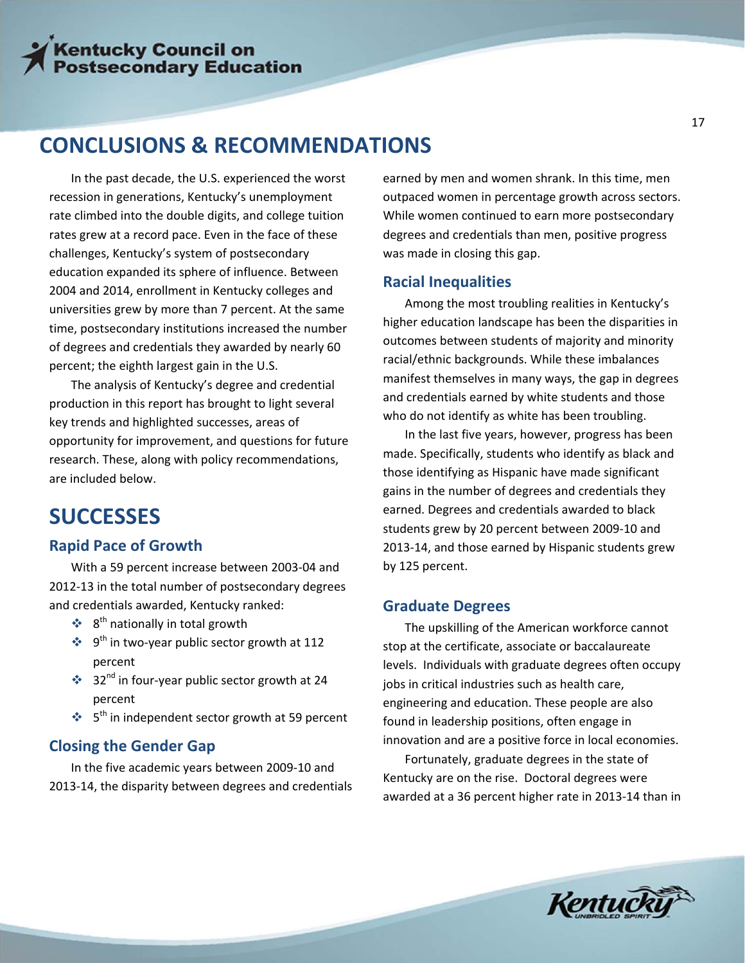### **CONCLUSIONS & RECOMMENDATIONS**

In the past decade, the U.S. experienced the worst recession in generations, Kentucky's unemployment rate climbed into the double digits, and college tuition rates grew at a record pace. Even in the face of these challenges, Kentucky's system of postsecondary education expanded its sphere of influence. Between 2004 and 2014, enrollment in Kentucky colleges and universities grew by more than 7 percent. At the same time, postsecondary institutions increased the number of degrees and credentials they awarded by nearly 60 percent; the eighth largest gain in the U.S.

The analysis of Kentucky's degree and credential production in this report has brought to light several key trends and highlighted successes, areas of opportunity for improvement, and questions for future research. These, along with policy recommendations, are included below.

### **SUCCESSES**

#### **Rapid Pace of Growth**

With a 59 percent increase between 2003‐04 and 2012‐13 in the total number of postsecondary degrees and credentials awarded, Kentucky ranked:

- $\div$  8<sup>th</sup> nationally in total growth
- $\bullet$  9<sup>th</sup> in two-year public sector growth at 112 percent
- ◆ 32<sup>nd</sup> in four-year public sector growth at 24 percent
- $\cdot$  5<sup>th</sup> in independent sector growth at 59 percent

#### **Closing the Gender Gap**

In the five academic years between 2009‐10 and 2013‐14, the disparity between degrees and credentials earned by men and women shrank. In this time, men outpaced women in percentage growth across sectors. While women continued to earn more postsecondary degrees and credentials than men, positive progress was made in closing this gap.

#### **Racial Inequalities**

Among the most troubling realities in Kentucky's higher education landscape has been the disparities in outcomes between students of majority and minority racial/ethnic backgrounds. While these imbalances manifest themselves in many ways, the gap in degrees and credentials earned by white students and those who do not identify as white has been troubling.

In the last five years, however, progress has been made. Specifically, students who identify as black and those identifying as Hispanic have made significant gains in the number of degrees and credentials they earned. Degrees and credentials awarded to black students grew by 20 percent between 2009‐10 and 2013‐14, and those earned by Hispanic students grew by 125 percent.

#### **Graduate Degrees**

The upskilling of the American workforce cannot stop at the certificate, associate or baccalaureate levels. Individuals with graduate degrees often occupy jobs in critical industries such as health care, engineering and education. These people are also found in leadership positions, often engage in innovation and are a positive force in local economies.

Fortunately, graduate degrees in the state of Kentucky are on the rise. Doctoral degrees were awarded at a 36 percent higher rate in 2013‐14 than in

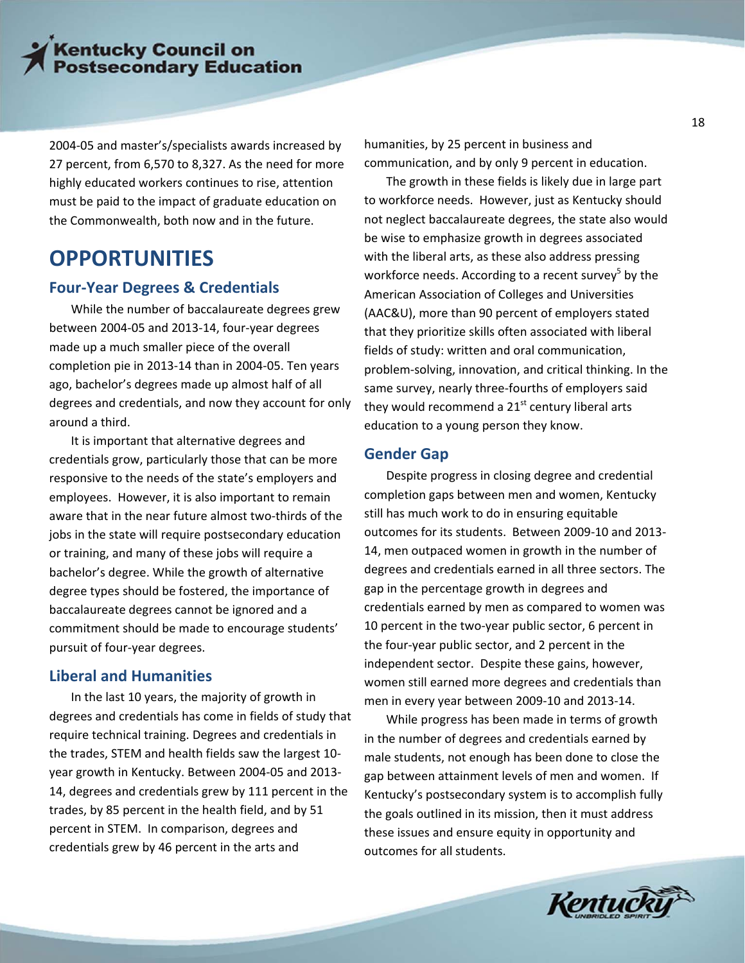2004‐05 and master's/specialists awards increased by 27 percent, from 6,570 to 8,327. As the need for more highly educated workers continues to rise, attention must be paid to the impact of graduate education on the Commonwealth, both now and in the future.

### **OPPORTUNITIES**

#### **Four‐Year Degrees & Credentials**

While the number of baccalaureate degrees grew between 2004‐05 and 2013‐14, four‐year degrees made up a much smaller piece of the overall completion pie in 2013‐14 than in 2004‐05. Ten years ago, bachelor's degrees made up almost half of all degrees and credentials, and now they account for only around a third.

It is important that alternative degrees and credentials grow, particularly those that can be more responsive to the needs of the state's employers and employees. However, it is also important to remain aware that in the near future almost two‐thirds of the jobs in the state will require postsecondary education or training, and many of these jobs will require a bachelor's degree. While the growth of alternative degree types should be fostered, the importance of baccalaureate degrees cannot be ignored and a commitment should be made to encourage students' pursuit of four‐year degrees.

#### **Liberal and Humanities**

In the last 10 years, the majority of growth in degrees and credentials has come in fields of study that require technical training. Degrees and credentials in the trades, STEM and health fields saw the largest 10‐ year growth in Kentucky. Between 2004‐05 and 2013‐ 14, degrees and credentials grew by 111 percent in the trades, by 85 percent in the health field, and by 51 percent in STEM. In comparison, degrees and credentials grew by 46 percent in the arts and

humanities, by 25 percent in business and communication, and by only 9 percent in education.

The growth in these fields is likely due in large part to workforce needs. However, just as Kentucky should not neglect baccalaureate degrees, the state also would be wise to emphasize growth in degrees associated with the liberal arts, as these also address pressing workforce needs. According to a recent survey $\delta$  by the American Association of Colleges and Universities (AAC&U), more than 90 percent of employers stated that they prioritize skills often associated with liberal fields of study: written and oral communication, problem‐solving, innovation, and critical thinking. In the same survey, nearly three‐fourths of employers said they would recommend a  $21<sup>st</sup>$  century liberal arts education to a young person they know.

#### **Gender Gap**

Despite progress in closing degree and credential completion gaps between men and women, Kentucky still has much work to do in ensuring equitable outcomes for its students. Between 2009‐10 and 2013‐ 14, men outpaced women in growth in the number of degrees and credentials earned in all three sectors. The gap in the percentage growth in degrees and credentials earned by men as compared to women was 10 percent in the two-year public sector, 6 percent in the four‐year public sector, and 2 percent in the independent sector. Despite these gains, however, women still earned more degrees and credentials than men in every year between 2009‐10 and 2013‐14.

While progress has been made in terms of growth in the number of degrees and credentials earned by male students, not enough has been done to close the gap between attainment levels of men and women. If Kentucky's postsecondary system is to accomplish fully the goals outlined in its mission, then it must address these issues and ensure equity in opportunity and outcomes for all students.

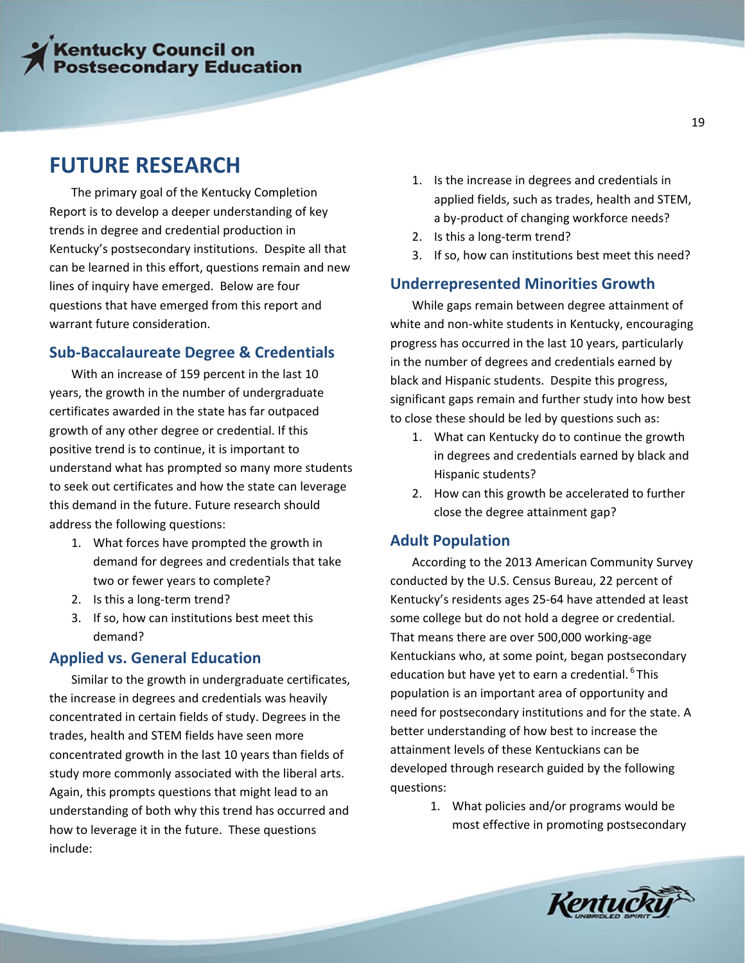### **FUTURE RESEARCH**

The primary goal of the Kentucky Completion Report is to develop a deeper understanding of key trends in degree and credential production in Kentucky's postsecondary institutions. Despite all that can be learned in this effort, questions remain and new lines of inquiry have emerged. Below are four questions that have emerged from this report and warrant future consideration.

### **Sub‐Baccalaureate Degree & Credentials**

With an increase of 159 percent in the last 10 years, the growth in the number of undergraduate certificates awarded in the state has far outpaced growth of any other degree or credential. If this positive trend is to continue, it is important to understand what has prompted so many more students to seek out certificates and how the state can leverage this demand in the future. Future research should address the following questions:

- 1. What forces have prompted the growth in demand for degrees and credentials that take two or fewer years to complete?
- 2. Is this a long‐term trend?
- 3. If so, how can institutions best meet this demand?

#### **Applied vs. General Education**

Similar to the growth in undergraduate certificates, the increase in degrees and credentials was heavily concentrated in certain fields of study. Degrees in the trades, health and STEM fields have seen more concentrated growth in the last 10 years than fields of study more commonly associated with the liberal arts. Again, this prompts questions that might lead to an understanding of both why this trend has occurred and how to leverage it in the future. These questions include:

- 1. Is the increase in degrees and credentials in applied fields, such as trades, health and STEM, a by‐product of changing workforce needs?
- 2. Is this a long‐term trend?
- 3. If so, how can institutions best meet this need?

#### **Underrepresented Minorities Growth**

While gaps remain between degree attainment of white and non-white students in Kentucky, encouraging progress has occurred in the last 10 years, particularly in the number of degrees and credentials earned by black and Hispanic students. Despite this progress, significant gaps remain and further study into how best to close these should be led by questions such as:

- 1. What can Kentucky do to continue the growth in degrees and credentials earned by black and Hispanic students?
- 2. How can this growth be accelerated to further close the degree attainment gap?

#### **Adult Population**

According to the 2013 American Community Survey conducted by the U.S. Census Bureau, 22 percent of Kentucky's residents ages 25‐64 have attended at least some college but do not hold a degree or credential. That means there are over 500,000 working‐age Kentuckians who, at some point, began postsecondary education but have yet to earn a credential.<sup>6</sup> This population is an important area of opportunity and need for postsecondary institutions and for the state. A better understanding of how best to increase the attainment levels of these Kentuckians can be developed through research guided by the following questions:

> 1. What policies and/or programs would be most effective in promoting postsecondary

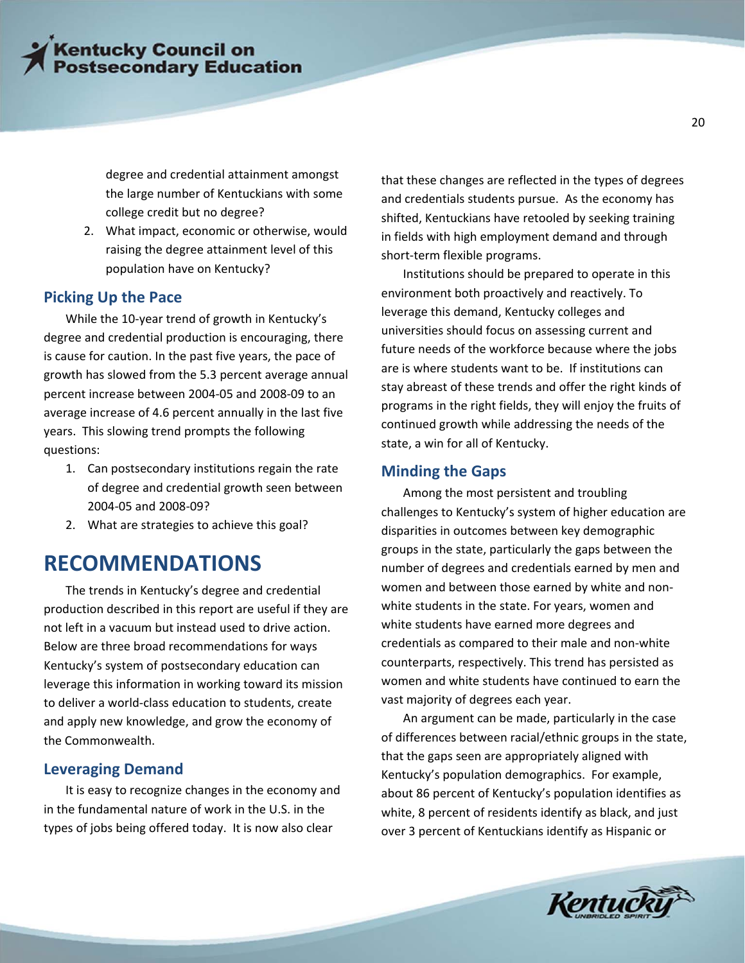degree and credential attainment amongst the large number of Kentuckians with some college credit but no degree?

2. What impact, economic or otherwise, would raising the degree attainment level of this population have on Kentucky?

#### **Picking Up the Pace**

While the 10‐year trend of growth in Kentucky's degree and credential production is encouraging, there is cause for caution. In the past five years, the pace of growth has slowed from the 5.3 percent average annual percent increase between 2004‐05 and 2008‐09 to an average increase of 4.6 percent annually in the last five years. This slowing trend prompts the following questions:

- 1. Can postsecondary institutions regain the rate of degree and credential growth seen between 2004‐05 and 2008‐09?
- 2. What are strategies to achieve this goal?

### **RECOMMENDATIONS**

The trends in Kentucky's degree and credential production described in this report are useful if they are not left in a vacuum but instead used to drive action. Below are three broad recommendations for ways Kentucky's system of postsecondary education can leverage this information in working toward its mission to deliver a world‐class education to students, create and apply new knowledge, and grow the economy of the Commonwealth.

#### **Leveraging Demand**

It is easy to recognize changes in the economy and in the fundamental nature of work in the U.S. in the types of jobs being offered today. It is now also clear

that these changes are reflected in the types of degrees and credentials students pursue. As the economy has shifted, Kentuckians have retooled by seeking training in fields with high employment demand and through short‐term flexible programs.

Institutions should be prepared to operate in this environment both proactively and reactively. To leverage this demand, Kentucky colleges and universities should focus on assessing current and future needs of the workforce because where the jobs are is where students want to be. If institutions can stay abreast of these trends and offer the right kinds of programs in the right fields, they will enjoy the fruits of continued growth while addressing the needs of the state, a win for all of Kentucky.

#### **Minding the Gaps**

Among the most persistent and troubling challenges to Kentucky's system of higher education are disparities in outcomes between key demographic groups in the state, particularly the gaps between the number of degrees and credentials earned by men and women and between those earned by white and non‐ white students in the state. For years, women and white students have earned more degrees and credentials as compared to their male and non‐white counterparts, respectively. This trend has persisted as women and white students have continued to earn the vast majority of degrees each year.

An argument can be made, particularly in the case of differences between racial/ethnic groups in the state, that the gaps seen are appropriately aligned with Kentucky's population demographics. For example, about 86 percent of Kentucky's population identifies as white, 8 percent of residents identify as black, and just over 3 percent of Kentuckians identify as Hispanic or

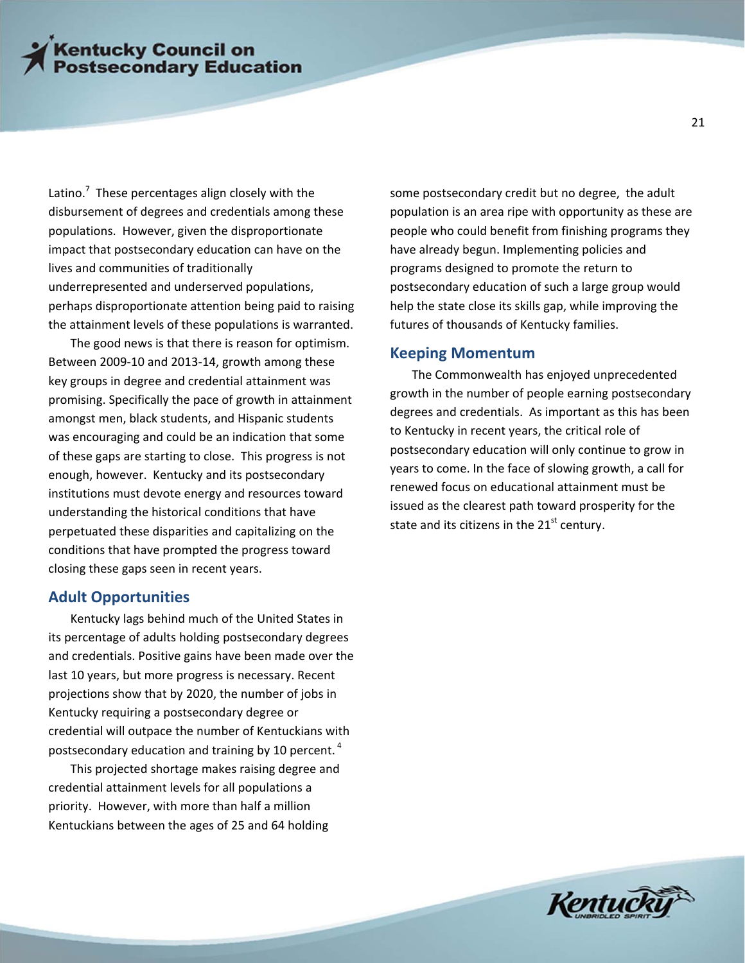Latino.<sup>7</sup> These percentages align closely with the disbursement of degrees and credentials among these populations. However, given the disproportionate impact that postsecondary education can have on the lives and communities of traditionally underrepresented and underserved populations, perhaps disproportionate attention being paid to raising the attainment levels of these populations is warranted.

The good news is that there is reason for optimism. Between 2009‐10 and 2013‐14, growth among these key groups in degree and credential attainment was promising. Specifically the pace of growth in attainment amongst men, black students, and Hispanic students was encouraging and could be an indication that some of these gaps are starting to close. This progress is not enough, however. Kentucky and its postsecondary institutions must devote energy and resources toward understanding the historical conditions that have perpetuated these disparities and capitalizing on the conditions that have prompted the progress toward closing these gaps seen in recent years.

#### **Adult Opportunities**

Kentucky lags behind much of the United States in its percentage of adults holding postsecondary degrees and credentials. Positive gains have been made over the last 10 years, but more progress is necessary. Recent projections show that by 2020, the number of jobs in Kentucky requiring a postsecondary degree or credential will outpace the number of Kentuckians with postsecondary education and training by 10 percent.  $4$ 

This projected shortage makes raising degree and credential attainment levels for all populations a priority. However, with more than half a million Kentuckians between the ages of 25 and 64 holding

some postsecondary credit but no degree, the adult population is an area ripe with opportunity as these are people who could benefit from finishing programs they have already begun. Implementing policies and programs designed to promote the return to postsecondary education of such a large group would help the state close its skills gap, while improving the futures of thousands of Kentucky families.

#### **Keeping Momentum**

The Commonwealth has enjoyed unprecedented growth in the number of people earning postsecondary degrees and credentials. As important as this has been to Kentucky in recent years, the critical role of postsecondary education will only continue to grow in years to come. In the face of slowing growth, a call for renewed focus on educational attainment must be issued as the clearest path toward prosperity for the state and its citizens in the  $21<sup>st</sup>$  century.